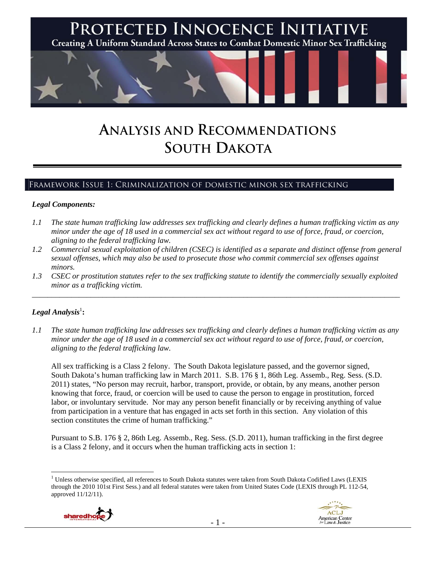

# **ANALYSIS AND RECOMMENDATIONS SOUTH DAKOTA**

## Framework Issue 1: Criminalization of domestic minor sex trafficking

#### *Legal Components:*

- *1.1 The state human trafficking law addresses sex trafficking and clearly defines a human trafficking victim as any minor under the age of 18 used in a commercial sex act without regard to use of force, fraud, or coercion, aligning to the federal trafficking law.*
- *1.2 Commercial sexual exploitation of children (CSEC) is identified as a separate and distinct offense from general sexual offenses, which may also be used to prosecute those who commit commercial sex offenses against minors.*
- *1.3 CSEC or prostitution statutes refer to the sex trafficking statute to identify the commercially sexually exploited minor as a trafficking victim.*  \_\_\_\_\_\_\_\_\_\_\_\_\_\_\_\_\_\_\_\_\_\_\_\_\_\_\_\_\_\_\_\_\_\_\_\_\_\_\_\_\_\_\_\_\_\_\_\_\_\_\_\_\_\_\_\_\_\_\_\_\_\_\_\_\_\_\_\_\_\_\_\_\_\_\_\_\_\_\_\_\_\_\_\_\_\_\_\_\_\_\_\_\_\_

### $\bm{\mathit{Legal\, Analysis}^{\text{!}}:}$

*1.1 The state human trafficking law addresses sex trafficking and clearly defines a human trafficking victim as any minor under the age of 18 used in a commercial sex act without regard to use of force, fraud, or coercion, aligning to the federal trafficking law.*

All sex trafficking is a Class 2 felony. The South Dakota legislature passed, and the governor signed, South Dakota's human trafficking law in March 2011. S.B. 176 § 1, 86th Leg. Assemb., Reg. Sess. (S.D. 2011) states, "No person may recruit, harbor, transport, provide, or obtain, by any means, another person knowing that force, fraud, or coercion will be used to cause the person to engage in prostitution, forced labor, or involuntary servitude. Nor may any person benefit financially or by receiving anything of value from participation in a venture that has engaged in acts set forth in this section. Any violation of this section constitutes the crime of human trafficking."

Pursuant to S.B. 176 § 2, 86th Leg. Assemb., Reg. Sess. (S.D. 2011), human trafficking in the first degree is a Class 2 felony, and it occurs when the human trafficking acts in section 1:

 $\overline{a}$ <sup>1</sup> Unless otherwise specified, all references to South Dakota statutes were taken from South Dakota Codified Laws (LEXIS through the 2010 101st First Sess.) and all federal statutes were taken from United States Code (LEXIS through PL 112-54, approved 11/12/11).



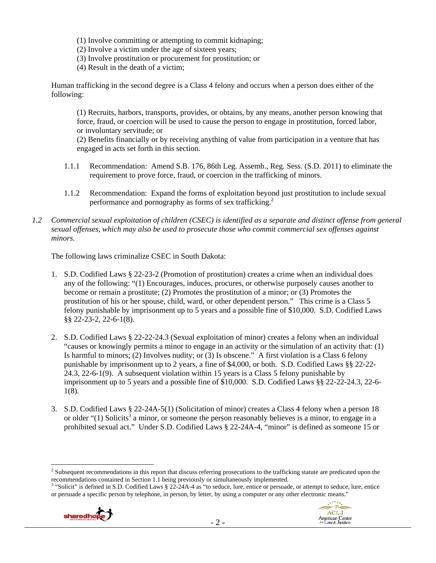- (1) Involve committing or attempting to commit kidnaping;
- (2) Involve a victim under the age of sixteen years;
- (3) Involve prostitution or procurement for prostitution; or
- (4) Result in the death of a victim;

Human trafficking in the second degree is a Class 4 felony and occurs when a person does either of the following:

(1) Recruits, harbors, transports, provides, or obtains, by any means, another person knowing that force, fraud, or coercion will be used to cause the person to engage in prostitution, forced labor, or involuntary servitude; or

(2) Benefits financially or by receiving anything of value from participation in a venture that has engaged in acts set forth in this section.

- 1.1.1 Recommendation: Amend S.B. 176, 86th Leg. Assemb., Reg. Sess. (S.D. 2011) to eliminate the requirement to prove force, fraud, or coercion in the trafficking of minors.
- 1.1.2 Recommendation: Expand the forms of exploitation beyond just prostitution to include sexual performance and pornography as forms of sex trafficking.<sup>2</sup>
- *1.2 Commercial sexual exploitation of children (CSEC) is identified as a separate and distinct offense from general sexual offenses, which may also be used to prosecute those who commit commercial sex offenses against minors.*

The following laws criminalize CSEC in South Dakota:

- 1. S.D. Codified Laws § 22-23-2 (Promotion of prostitution) creates a crime when an individual does any of the following: "(1) Encourages, induces, procures, or otherwise purposely causes another to become or remain a prostitute; (2) Promotes the prostitution of a minor; or (3) Promotes the prostitution of his or her spouse, child, ward, or other dependent person." This crime is a Class 5 felony punishable by imprisonment up to 5 years and a possible fine of \$10,000. S.D. Codified Laws §§ 22-23-2, 22-6-1(8).
- 2. S.D. Codified Laws § 22-22-24.3 (Sexual exploitation of minor) creates a felony when an individual "causes or knowingly permits a minor to engage in an activity or the simulation of an activity that: (1) Is harmful to minors; (2) Involves nudity; or (3) Is obscene." A first violation is a Class 6 felony punishable by imprisonment up to 2 years, a fine of \$4,000, or both. S.D. Codified Laws §§ 22-22- 24.3, 22-6-1(9). A subsequent violation within 15 years is a Class 5 felony punishable by imprisonment up to 5 years and a possible fine of \$10,000. S.D. Codified Laws §§ 22-22-24.3, 22-6- 1(8).
- 3. S.D. Codified Laws § 22-24A-5(1) (Solicitation of minor) creates a Class 4 felony when a person 18 or older " $(1)$  Solicits<sup>3</sup> a minor, or someone the person reasonably believes is a minor, to engage in a prohibited sexual act." Under S.D. Codified Laws § 22-24A-4, "minor" is defined as someone 15 or

<sup>&</sup>lt;sup>3</sup> "Solicit" is defined in S.D. Codified Laws § 22-24A-4 as "to seduce, lure, entice or persuade, or attempt to seduce, lure, entice or persuade a specific person by telephone, in person, by letter, by using a computer or any other electronic means."



<sup>&</sup>lt;sup>2</sup> Subsequent recommendations in this report that discuss referring prosecutions to the trafficking statute are predicated upon the recommendations contained in Section 1.1 being previously or simultaneously implemented.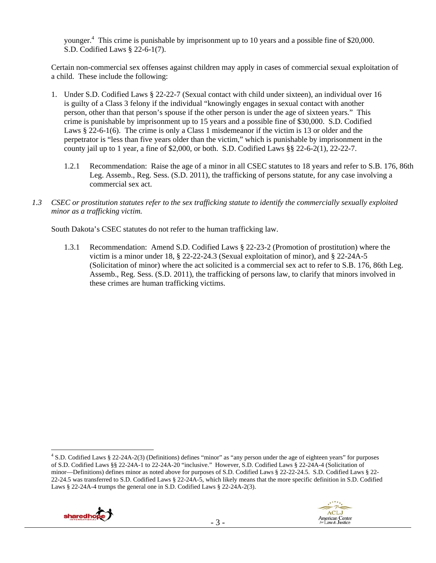younger.<sup>4</sup> This crime is punishable by imprisonment up to 10 years and a possible fine of \$20,000. S.D. Codified Laws § 22-6-1(7).

Certain non-commercial sex offenses against children may apply in cases of commercial sexual exploitation of a child. These include the following:

- 1. Under S.D. Codified Laws § 22-22-7 (Sexual contact with child under sixteen), an individual over 16 is guilty of a Class 3 felony if the individual "knowingly engages in sexual contact with another person, other than that person's spouse if the other person is under the age of sixteen years." This crime is punishable by imprisonment up to 15 years and a possible fine of \$30,000. S.D. Codified Laws § 22-6-1(6). The crime is only a Class 1 misdemeanor if the victim is 13 or older and the perpetrator is "less than five years older than the victim," which is punishable by imprisonment in the county jail up to 1 year, a fine of \$2,000, or both. S.D. Codified Laws  $\S$  22-6-2(1), 22-22-7.
	- 1.2.1 Recommendation: Raise the age of a minor in all CSEC statutes to 18 years and refer to S.B. 176, 86th Leg. Assemb., Reg. Sess. (S.D. 2011), the trafficking of persons statute, for any case involving a commercial sex act.
- *1.3 CSEC or prostitution statutes refer to the sex trafficking statute to identify the commercially sexually exploited minor as a trafficking victim.*

South Dakota's CSEC statutes do not refer to the human trafficking law.

1.3.1 Recommendation: Amend S.D. Codified Laws § 22-23-2 (Promotion of prostitution) where the victim is a minor under 18, § 22-22-24.3 (Sexual exploitation of minor), and § 22-24A-5 (Solicitation of minor) where the act solicited is a commercial sex act to refer to S.B. 176, 86th Leg. Assemb., Reg. Sess. (S.D. 2011), the trafficking of persons law, to clarify that minors involved in these crimes are human trafficking victims.

 $\overline{a}$ 4 S.D. Codified Laws § 22-24A-2(3) (Definitions) defines "minor" as "any person under the age of eighteen years" for purposes of S.D. Codified Laws §§ 22-24A-1 to 22-24A-20 "inclusive." However, S.D. Codified Laws § 22-24A-4 (Solicitation of minor—Definitions) defines minor as noted above for purposes of S.D. Codified Laws § 22-22-24.5. S.D. Codified Laws § 22- 22-24.5 was transferred to S.D. Codified Laws § 22-24A-5, which likely means that the more specific definition in S.D. Codified Laws § 22-24A-4 trumps the general one in S.D. Codified Laws § 22-24A-2(3).



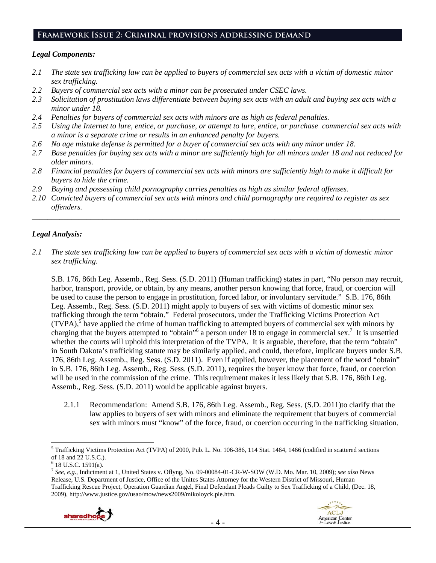#### **Framework Issue 2: Criminal provisions addressing demand**

#### *Legal Components:*

- *2.1 The state sex trafficking law can be applied to buyers of commercial sex acts with a victim of domestic minor sex trafficking.*
- *2.2 Buyers of commercial sex acts with a minor can be prosecuted under CSEC laws.*
- *2.3 Solicitation of prostitution laws differentiate between buying sex acts with an adult and buying sex acts with a minor under 18.*
- *2.4 Penalties for buyers of commercial sex acts with minors are as high as federal penalties.*
- *2.5 Using the Internet to lure, entice, or purchase, or attempt to lure, entice, or purchase commercial sex acts with a minor is a separate crime or results in an enhanced penalty for buyers.*
- *2.6 No age mistake defense is permitted for a buyer of commercial sex acts with any minor under 18.*
- *2.7 Base penalties for buying sex acts with a minor are sufficiently high for all minors under 18 and not reduced for older minors.*
- *2.8 Financial penalties for buyers of commercial sex acts with minors are sufficiently high to make it difficult for buyers to hide the crime.*
- *2.9 Buying and possessing child pornography carries penalties as high as similar federal offenses.*
- *2.10 Convicted buyers of commercial sex acts with minors and child pornography are required to register as sex offenders.*

\_\_\_\_\_\_\_\_\_\_\_\_\_\_\_\_\_\_\_\_\_\_\_\_\_\_\_\_\_\_\_\_\_\_\_\_\_\_\_\_\_\_\_\_\_\_\_\_\_\_\_\_\_\_\_\_\_\_\_\_\_\_\_\_\_\_\_\_\_\_\_\_\_\_\_\_\_\_\_\_\_\_\_\_\_\_\_\_\_\_\_\_\_\_

## *Legal Analysis:*

*2.1 The state sex trafficking law can be applied to buyers of commercial sex acts with a victim of domestic minor sex trafficking.* 

S.B. 176, 86th Leg. Assemb., Reg. Sess. (S.D. 2011) (Human trafficking) states in part, "No person may recruit, harbor, transport, provide, or obtain, by any means, another person knowing that force, fraud, or coercion will be used to cause the person to engage in prostitution, forced labor, or involuntary servitude." S.B. 176, 86th Leg. Assemb., Reg. Sess. (S.D. 2011) might apply to buyers of sex with victims of domestic minor sex trafficking through the term "obtain." Federal prosecutors, under the Trafficking Victims Protection Act  $(TVPA)$ , have applied the crime of human trafficking to attempted buyers of commercial sex with minors by charging that the buyers attempted to "obtain"<sup>6</sup> a person under 18 to engage in commercial sex.<sup>7</sup> It is unsettled whether the courts will uphold this interpretation of the TVPA. It is arguable, therefore, that the term "obtain" in South Dakota's trafficking statute may be similarly applied, and could, therefore, implicate buyers under S.B. 176, 86th Leg. Assemb., Reg. Sess. (S.D. 2011). Even if applied, however, the placement of the word "obtain" in S.B. 176, 86th Leg. Assemb., Reg. Sess. (S.D. 2011), requires the buyer know that force, fraud, or coercion will be used in the commission of the crime. This requirement makes it less likely that S.B. 176, 86th Leg. Assemb., Reg. Sess. (S.D. 2011) would be applicable against buyers.

2.1.1 Recommendation: Amend S.B. 176, 86th Leg. Assemb., Reg. Sess. (S.D. 2011)to clarify that the law applies to buyers of sex with minors and eliminate the requirement that buyers of commercial sex with minors must "know" of the force, fraud, or coercion occurring in the trafficking situation.

<sup>7</sup> *See, e.g*., Indictment at 1, United States v. Oflyng, No. 09-00084-01-CR-W-SOW (W.D. Mo. Mar. 10, 2009); *see also* News Release, U.S. Department of Justice, Office of the Unites States Attorney for the Western District of Missouri, Human Trafficking Rescue Project, Operation Guardian Angel, Final Defendant Pleads Guilty to Sex Trafficking of a Child, (Dec. 18, 2009), http://www.justice.gov/usao/mow/news2009/mikoloyck.ple.htm.



 $\overline{a}$ <sup>5</sup> Trafficking Victims Protection Act (TVPA) of 2000, Pub. L. No. 106-386, 114 Stat. 1464, 1466 (codified in scattered sections of 18 and 22 U.S.C.).

 $6$  18 U.S.C. 1591(a).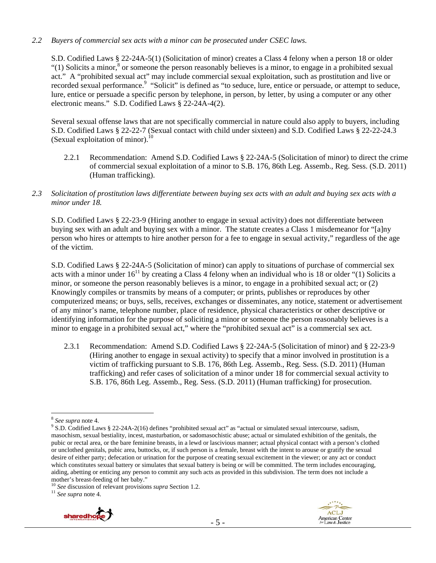#### *2.2 Buyers of commercial sex acts with a minor can be prosecuted under CSEC laws.*

S.D. Codified Laws § 22-24A-5(1) (Solicitation of minor) creates a Class 4 felony when a person 18 or older "(1) Solicits a minor,  $\delta$  or someone the person reasonably believes is a minor, to engage in a prohibited sexual act." A "prohibited sexual act" may include commercial sexual exploitation, such as prostitution and live or recorded sexual performance.<sup>9</sup> "Solicit" is defined as "to seduce, lure, entice or persuade, or attempt to seduce, lure, entice or persuade a specific person by telephone, in person, by letter, by using a computer or any other electronic means." S.D. Codified Laws § 22-24A-4(2).

Several sexual offense laws that are not specifically commercial in nature could also apply to buyers, including S.D. Codified Laws § 22-22-7 (Sexual contact with child under sixteen) and S.D. Codified Laws § 22-22-24.3 (Sexual exploitation of minor). $^{10}$ 

- 2.2.1 Recommendation: Amend S.D. Codified Laws § 22-24A-5 (Solicitation of minor) to direct the crime of commercial sexual exploitation of a minor to S.B. 176, 86th Leg. Assemb., Reg. Sess. (S.D. 2011) (Human trafficking).
- *2.3 Solicitation of prostitution laws differentiate between buying sex acts with an adult and buying sex acts with a minor under 18.*

S.D. Codified Laws § 22-23-9 (Hiring another to engage in sexual activity) does not differentiate between buying sex with an adult and buying sex with a minor. The statute creates a Class 1 misdemeanor for "[a]ny person who hires or attempts to hire another person for a fee to engage in sexual activity," regardless of the age of the victim.

S.D. Codified Laws § 22-24A-5 (Solicitation of minor) can apply to situations of purchase of commercial sex acts with a minor under  $16^{11}$  by creating a Class 4 felony when an individual who is 18 or older "(1) Solicits a minor, or someone the person reasonably believes is a minor, to engage in a prohibited sexual act; or (2) Knowingly compiles or transmits by means of a computer; or prints, publishes or reproduces by other computerized means; or buys, sells, receives, exchanges or disseminates, any notice, statement or advertisement of any minor's name, telephone number, place of residence, physical characteristics or other descriptive or identifying information for the purpose of soliciting a minor or someone the person reasonably believes is a minor to engage in a prohibited sexual act," where the "prohibited sexual act" is a commercial sex act.

2.3.1 Recommendation: Amend S.D. Codified Laws § 22-24A-5 (Solicitation of minor) and § 22-23-9 (Hiring another to engage in sexual activity) to specify that a minor involved in prostitution is a victim of trafficking pursuant to S.B. 176, 86th Leg. Assemb., Reg. Sess. (S.D. 2011) (Human trafficking) and refer cases of solicitation of a minor under 18 for commercial sexual activity to S.B. 176, 86th Leg. Assemb., Reg. Sess. (S.D. 2011) (Human trafficking) for prosecution.





 $\overline{a}$ <sup>8</sup> See supra note 4.

<sup>&</sup>lt;sup>9</sup> S.D. Codified Laws § 22-24A-2(16) defines "prohibited sexual act" as "actual or simulated sexual intercourse, sadism, masochism, sexual bestiality, incest, masturbation, or sadomasochistic abuse; actual or simulated exhibition of the genitals, the pubic or rectal area, or the bare feminine breasts, in a lewd or lascivious manner; actual physical contact with a person's clothed or unclothed genitals, pubic area, buttocks, or, if such person is a female, breast with the intent to arouse or gratify the sexual desire of either party; defecation or urination for the purpose of creating sexual excitement in the viewer; or any act or conduct which constitutes sexual battery or simulates that sexual battery is being or will be committed. The term includes encouraging, aiding, abetting or enticing any person to commit any such acts as provided in this subdivision. The term does not include a mother's breast-feeding of her baby."

<sup>10</sup> *See* discussion of relevant provisions *supra* Section 1.2. 11 *See supra* note 4.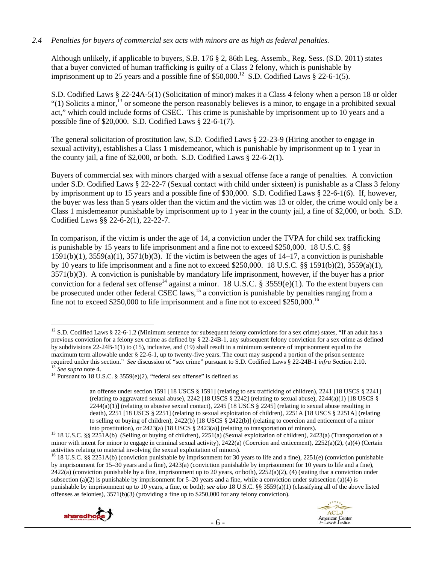#### *2.4 Penalties for buyers of commercial sex acts with minors are as high as federal penalties.*

Although unlikely, if applicable to buyers, S.B. 176 § 2, 86th Leg. Assemb., Reg. Sess. (S.D. 2011) states that a buyer convicted of human trafficking is guilty of a Class 2 felony, which is punishable by imprisonment up to 25 years and a possible fine of  $$50,000$ .<sup>12</sup> S.D. Codified Laws  $§$  22-6-1(5).

S.D. Codified Laws § 22-24A-5(1) (Solicitation of minor) makes it a Class 4 felony when a person 18 or older "(1) Solicits a minor,  $^{13}$  or someone the person reasonably believes is a minor, to engage in a prohibited sexual act," which could include forms of CSEC. This crime is punishable by imprisonment up to 10 years and a possible fine of \$20,000. S.D. Codified Laws § 22-6-1(7).

The general solicitation of prostitution law, S.D. Codified Laws § 22-23-9 (Hiring another to engage in sexual activity), establishes a Class 1 misdemeanor, which is punishable by imprisonment up to 1 year in the county jail, a fine of \$2,000, or both. S.D. Codified Laws § 22-6-2(1).

Buyers of commercial sex with minors charged with a sexual offense face a range of penalties. A conviction under S.D. Codified Laws § 22-22-7 (Sexual contact with child under sixteen) is punishable as a Class 3 felony by imprisonment up to 15 years and a possible fine of \$30,000. S.D. Codified Laws § 22-6-1(6). If, however, the buyer was less than 5 years older than the victim and the victim was 13 or older, the crime would only be a Class 1 misdemeanor punishable by imprisonment up to 1 year in the county jail, a fine of \$2,000, or both. S.D. Codified Laws §§ 22-6-2(1), 22-22-7.

In comparison, if the victim is under the age of 14, a conviction under the TVPA for child sex trafficking is punishable by 15 years to life imprisonment and a fine not to exceed \$250,000. 18 U.S.C. §§  $1591(b)(1)$ ,  $3559(a)(1)$ ,  $3571(b)(3)$ . If the victim is between the ages of  $14-17$ , a conviction is punishable by 10 years to life imprisonment and a fine not to exceed \$250,000. 18 U.S.C. §§ 1591(b)(2), 3559(a)(1), 3571(b)(3). A conviction is punishable by mandatory life imprisonment, however, if the buyer has a prior conviction for a federal sex offense<sup>14</sup> against a minor. 18 U.S.C. § 3559(e)(1). To the extent buyers can be prosecuted under other federal CSEC laws,<sup>15</sup> a conviction is punishable by penalties ranging from a fine not to exceed \$250,000 to life imprisonment and a fine not to exceed \$250,000.<sup>16</sup>

<sup>&</sup>lt;sup>16</sup> 18 U.S.C. §§ 2251A(b) (conviction punishable by imprisonment for 30 years to life and a fine), 2251(e) (conviction punishable by imprisonment for 15–30 years and a fine), 2423(a) (conviction punishable by imprisonment for 10 years to life and a fine),  $2422(a)$  (conviction punishable by a fine, imprisonment up to 20 years, or both),  $2252(a)(2)$ , (4) (stating that a conviction under subsection (a)(2) is punishable by imprisonment for  $5-20$  years and a fine, while a conviction under subsection (a)(4) is punishable by imprisonment up to 10 years, a fine, or both); *see also* 18 U.S.C. §§ 3559(a)(1) (classifying all of the above listed offenses as felonies), 3571(b)(3) (providing a fine up to \$250,000 for any felony conviction).





 $\overline{a}$ <sup>12</sup> S.D. Codified Laws § 22-6-1.2 (Minimum sentence for subsequent felony convictions for a sex crime) states, "If an adult has a previous conviction for a felony sex crime as defined by § 22-24B-1, any subsequent felony conviction for a sex crime as defined by subdivisions 22-24B-1(1) to (15), inclusive, and (19) shall result in a minimum sentence of imprisonment equal to the maximum term allowable under § 22-6-1, up to twenty-five years. The court may suspend a portion of the prison sentence required under this section." See discussion of "sex crime" pursuant to S.D. Codified Laws § 22-24B-1 *infra* Section 2.10.<br><sup>13</sup> See supra note 4.<br><sup>14</sup> Pursuant to 18 U.S.C. § 3559(e)(2), "federal sex offense" is defined

an offense under section 1591 [18 USCS § 1591] (relating to sex trafficking of children), 2241 [18 USCS § 2241] (relating to aggravated sexual abuse), 2242 [18 USCS § 2242] (relating to sexual abuse), 2244(a)(1) [18 USCS §  $2244(a)(1)$  (relating to abusive sexual contact),  $2245$  [18 USCS § 2245] (relating to sexual abuse resulting in death), 2251 [18 USCS § 2251] (relating to sexual exploitation of children), 2251A [18 USCS § 2251A] (relating to selling or buying of children), 2422(b) [18 USCS § 2422(b)] (relating to coercion and enticement of a minor

into prostitution), or 2423(a) [18 USCS § 2423(a)] (relating to transportation of minors).<br><sup>15</sup> 18 U.S.C. §§ 2251A(b) (Selling or buying of children), 2251(a) (Sexual exploitation of children), 2423(a) (Transportation of a minor with intent for minor to engage in criminal sexual activity), 2422(a) (Coercion and enticement), 2252(a)(2), (a)(4) (Certain activities relating to material involving the sexual exploitation of minors).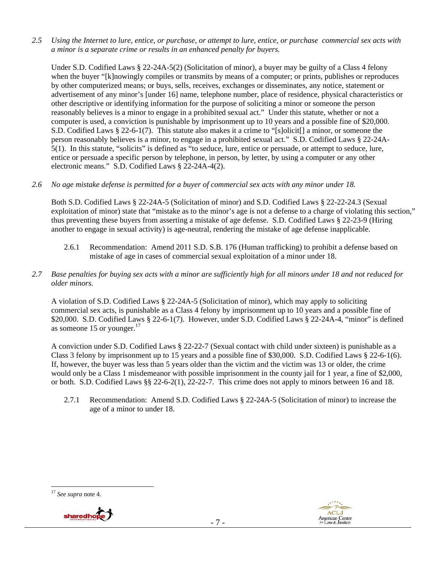*2.5 Using the Internet to lure, entice, or purchase, or attempt to lure, entice, or purchase commercial sex acts with a minor is a separate crime or results in an enhanced penalty for buyers.* 

Under S.D. Codified Laws § 22-24A-5(2) (Solicitation of minor), a buyer may be guilty of a Class 4 felony when the buyer "[k]nowingly compiles or transmits by means of a computer; or prints, publishes or reproduces by other computerized means; or buys, sells, receives, exchanges or disseminates, any notice, statement or advertisement of any minor's [under 16] name, telephone number, place of residence, physical characteristics or other descriptive or identifying information for the purpose of soliciting a minor or someone the person reasonably believes is a minor to engage in a prohibited sexual act." Under this statute, whether or not a computer is used, a conviction is punishable by imprisonment up to 10 years and a possible fine of \$20,000. S.D. Codified Laws § 22-6-1(7). This statute also makes it a crime to "[s]olicit[] a minor, or someone the person reasonably believes is a minor, to engage in a prohibited sexual act." S.D. Codified Laws § 22-24A-5(1). In this statute, "solicits" is defined as "to seduce, lure, entice or persuade, or attempt to seduce, lure, entice or persuade a specific person by telephone, in person, by letter, by using a computer or any other electronic means." S.D. Codified Laws § 22-24A-4(2).

### *2.6 No age mistake defense is permitted for a buyer of commercial sex acts with any minor under 18.*

Both S.D. Codified Laws § 22-24A-5 (Solicitation of minor) and S.D. Codified Laws § 22-22-24.3 (Sexual exploitation of minor) state that "mistake as to the minor's age is not a defense to a charge of violating this section," thus preventing these buyers from asserting a mistake of age defense. S.D. Codified Laws § 22-23-9 (Hiring another to engage in sexual activity) is age-neutral, rendering the mistake of age defense inapplicable.

2.6.1 Recommendation: Amend 2011 S.D. S.B. 176 (Human trafficking) to prohibit a defense based on mistake of age in cases of commercial sexual exploitation of a minor under 18.

#### *2.7 Base penalties for buying sex acts with a minor are sufficiently high for all minors under 18 and not reduced for older minors.*

A violation of S.D. Codified Laws § 22-24A-5 (Solicitation of minor), which may apply to soliciting commercial sex acts, is punishable as a Class 4 felony by imprisonment up to 10 years and a possible fine of \$20,000. S.D. Codified Laws § 22-6-1(7). However, under S.D. Codified Laws § 22-24A-4, "minor" is defined as someone 15 or younger. $^{17}$ 

A conviction under S.D. Codified Laws § 22-22-7 (Sexual contact with child under sixteen) is punishable as a Class 3 felony by imprisonment up to 15 years and a possible fine of \$30,000. S.D. Codified Laws § 22-6-1(6). If, however, the buyer was less than 5 years older than the victim and the victim was 13 or older, the crime would only be a Class 1 misdemeanor with possible imprisonment in the county jail for 1 year, a fine of \$2,000, or both. S.D. Codified Laws §§ 22-6-2(1), 22-22-7. This crime does not apply to minors between 16 and 18.

2.7.1 Recommendation: Amend S.D. Codified Laws § 22-24A-5 (Solicitation of minor) to increase the age of a minor to under 18.

#### <sup>17</sup> *See supra* note 4.



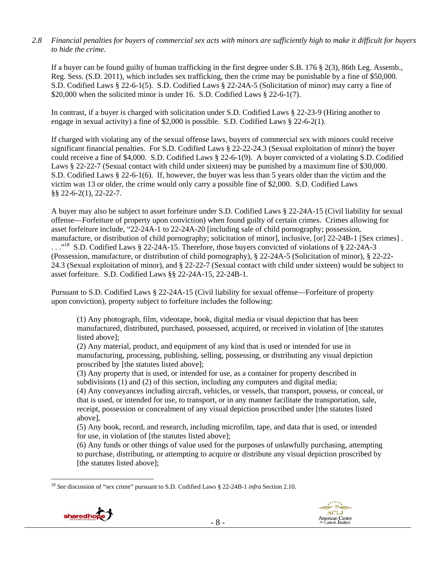#### *2.8 Financial penalties for buyers of commercial sex acts with minors are sufficiently high to make it difficult for buyers to hide the crime.*

If a buyer can be found guilty of human trafficking in the first degree under S.B. 176 § 2(3), 86th Leg. Assemb., Reg. Sess. (S.D. 2011), which includes sex trafficking, then the crime may be punishable by a fine of \$50,000. S.D. Codified Laws § 22-6-1(5). S.D. Codified Laws § 22-24A-5 (Solicitation of minor) may carry a fine of \$20,000 when the solicited minor is under 16. S.D. Codified Laws § 22-6-1(7).

In contrast, if a buyer is charged with solicitation under S.D. Codified Laws § 22-23-9 (Hiring another to engage in sexual activity) a fine of \$2,000 is possible. S.D. Codified Laws § 22-6-2(1).

If charged with violating any of the sexual offense laws, buyers of commercial sex with minors could receive significant financial penalties. For S.D. Codified Laws § 22-22-24.3 (Sexual exploitation of minor) the buyer could receive a fine of \$4,000. S.D. Codified Laws § 22-6-1(9). A buyer convicted of a violating S.D. Codified Laws § 22-22-7 (Sexual contact with child under sixteen) may be punished by a maximum fine of \$30,000. S.D. Codified Laws § 22-6-1(6). If, however, the buyer was less than 5 years older than the victim and the victim was 13 or older, the crime would only carry a possible fine of \$2,000. S.D. Codified Laws §§ 22-6-2(1), 22-22-7.

A buyer may also be subject to asset forfeiture under S.D. Codified Laws § 22-24A-15 (Civil liability for sexual offense—Forfeiture of property upon conviction) when found guilty of certain crimes. Crimes allowing for asset forfeiture include, "22-24A-1 to 22-24A-20 [including sale of child pornography; possession, manufacture, or distribution of child pornography; solicitation of minor], inclusive, [or] 22-24B-1 [Sex crimes] .  $\ldots$ <sup>18</sup> S.D. Codified Laws § 22-24A-15. Therefore, those buyers convicted of violations of § 22-24A-3 (Possession, manufacture, or distribution of child pornography), § 22-24A-5 (Solicitation of minor), § 22-22- 24.3 (Sexual exploitation of minor), and § 22-22-7 (Sexual contact with child under sixteen) would be subject to asset forfeiture. S.D. Codified Laws §§ 22-24A-15, 22-24B-1.

Pursuant to S.D. Codified Laws § 22-24A-15 (Civil liability for sexual offense—Forfeiture of property upon conviction), property subject to forfeiture includes the following:

(1) Any photograph, film, videotape, book, digital media or visual depiction that has been manufactured, distributed, purchased, possessed, acquired, or received in violation of [the statutes listed above];

(2) Any material, product, and equipment of any kind that is used or intended for use in manufacturing, processing, publishing, selling, possessing, or distributing any visual depiction proscribed by [the statutes listed above];

(3) Any property that is used, or intended for use, as a container for property described in subdivisions (1) and (2) of this section, including any computers and digital media;

(4) Any conveyances including aircraft, vehicles, or vessels, that transport, possess, or conceal, or that is used, or intended for use, to transport, or in any manner facilitate the transportation, sale, receipt, possession or concealment of any visual depiction proscribed under [the statutes listed above],

(5) Any book, record, and research, including microfilm, tape, and data that is used, or intended for use, in violation of [the statutes listed above];

(6) Any funds or other things of value used for the purposes of unlawfully purchasing, attempting to purchase, distributing, or attempting to acquire or distribute any visual depiction proscribed by [the statutes listed above];

<sup>18</sup> *See* discussion of "sex crime" pursuant to S.D. Codified Laws § 22-24B-1 *infra* Section 2.10.



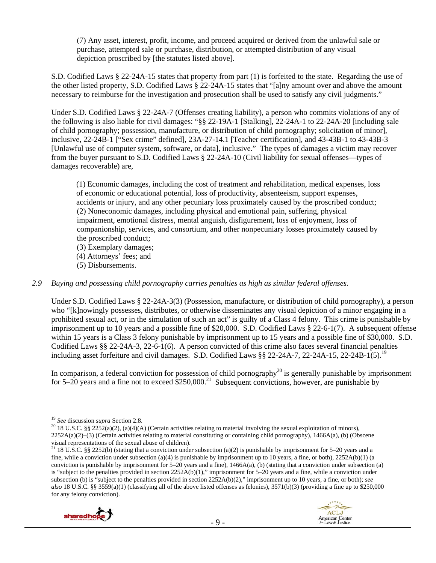(7) Any asset, interest, profit, income, and proceed acquired or derived from the unlawful sale or purchase, attempted sale or purchase, distribution, or attempted distribution of any visual depiction proscribed by [the statutes listed above].

S.D. Codified Laws § 22-24A-15 states that property from part (1) is forfeited to the state. Regarding the use of the other listed property, S.D. Codified Laws § 22-24A-15 states that "[a]ny amount over and above the amount necessary to reimburse for the investigation and prosecution shall be used to satisfy any civil judgments."

Under S.D. Codified Laws § 22-24A-7 (Offenses creating liability), a person who commits violations of any of the following is also liable for civil damages: "§§ 22-19A-1 [Stalking], 22-24A-1 to 22-24A-20 [including sale of child pornography; possession, manufacture, or distribution of child pornography; solicitation of minor], inclusive, 22-24B-1 ["Sex crime" defined], 23A-27-14.1 [Teacher certification], and 43-43B-1 to 43-43B-3 [Unlawful use of computer system, software, or data], inclusive." The types of damages a victim may recover from the buyer pursuant to S.D. Codified Laws § 22-24A-10 (Civil liability for sexual offenses—types of damages recoverable) are,

(1) Economic damages, including the cost of treatment and rehabilitation, medical expenses, loss of economic or educational potential, loss of productivity, absenteeism, support expenses, accidents or injury, and any other pecuniary loss proximately caused by the proscribed conduct; (2) Noneconomic damages, including physical and emotional pain, suffering, physical impairment, emotional distress, mental anguish, disfigurement, loss of enjoyment, loss of companionship, services, and consortium, and other nonpecuniary losses proximately caused by the proscribed conduct;

(3) Exemplary damages;

- (4) Attorneys' fees; and
- (5) Disbursements.

### *2.9 Buying and possessing child pornography carries penalties as high as similar federal offenses.*

Under S.D. Codified Laws § 22-24A-3(3) (Possession, manufacture, or distribution of child pornography), a person who "[k]nowingly possesses, distributes, or otherwise disseminates any visual depiction of a minor engaging in a prohibited sexual act, or in the simulation of such an act" is guilty of a Class 4 felony. This crime is punishable by imprisonment up to 10 years and a possible fine of \$20,000. S.D. Codified Laws § 22-6-1(7). A subsequent offense within 15 years is a Class 3 felony punishable by imprisonment up to 15 years and a possible fine of \$30,000. S.D. Codified Laws §§ 22-24A-3, 22-6-1(6). A person convicted of this crime also faces several financial penalties including asset forfeiture and civil damages. S.D. Codified Laws §§ 22-24A-7, 22-24A-15, 22-24B-1(5).<sup>19</sup>

In comparison, a federal conviction for possession of child pornography<sup>20</sup> is generally punishable by imprisonment for 5–20 years and a fine not to exceed \$250,000.<sup>21</sup> Subsequent convictions, however, are punishable by

<sup>&</sup>lt;sup>21</sup> 18 U.S.C. §§ 2252(b) (stating that a conviction under subsection (a)(2) is punishable by imprisonment for 5–20 years and a fine, while a conviction under subsection (a)(4) is punishable by imprisonment up to 10 years, a fine, or both),  $2252A(b)(1)$  (a conviction is punishable by imprisonment for  $5-20$  years and a fine),  $1466A(a)$ , (b) (stating that a conviction under subsection (a) is "subject to the penalties provided in section 2252A(b)(1)," imprisonment for 5–20 years and a fine, while a conviction under subsection (b) is "subject to the penalties provided in section 2252A(b)(2)," imprisonment up to 10 years, a fine, or both); *see also* 18 U.S.C. §§ 3559(a)(1) (classifying all of the above listed offenses as felonies), 3571(b)(3) (providing a fine up to \$250,000 for any felony conviction).





<sup>&</sup>lt;sup>19</sup> *See* discussion *supra* Section 2.8.<br><sup>20</sup> 18 U.S.C. §§ 2252(a)(2), (a)(4)(A) (Certain activities relating to material involving the sexual exploitation of minors), 2252A(a)(2)–(3) (Certain activities relating to material constituting or containing child pornography), 1466A(a), (b) (Obscene visual representations of the sexual abuse of children).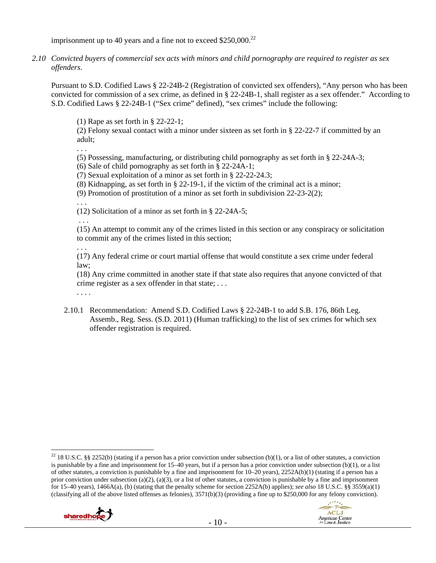imprisonment up to 40 years and a fine not to exceed  $$250,000.<sup>22</sup>$ 

*2.10 Convicted buyers of commercial sex acts with minors and child pornography are required to register as sex offenders*.

Pursuant to S.D. Codified Laws § 22-24B-2 (Registration of convicted sex offenders), "Any person who has been convicted for commission of a sex crime, as defined in § 22-24B-1, shall register as a sex offender." According to S.D. Codified Laws § 22-24B-1 ("Sex crime" defined), "sex crimes" include the following:

(1) Rape as set forth in § 22-22-1;

(2) Felony sexual contact with a minor under sixteen as set forth in § 22-22-7 if committed by an adult;

. . .

(5) Possessing, manufacturing, or distributing child pornography as set forth in § 22-24A-3;

(6) Sale of child pornography as set forth in § 22-24A-1;

(7) Sexual exploitation of a minor as set forth in § 22-22-24.3;

(8) Kidnapping, as set forth in § 22-19-1, if the victim of the criminal act is a minor;

(9) Promotion of prostitution of a minor as set forth in subdivision 22-23-2(2);

. . .

(12) Solicitation of a minor as set forth in § 22-24A-5;

 . . . (15) An attempt to commit any of the crimes listed in this section or any conspiracy or solicitation to commit any of the crimes listed in this section;

. . .

(17) Any federal crime or court martial offense that would constitute a sex crime under federal law;

(18) Any crime committed in another state if that state also requires that anyone convicted of that crime register as a sex offender in that state; . . .

. . . .

2.10.1 Recommendation: Amend S.D. Codified Laws § 22-24B-1 to add S.B. 176, 86th Leg. Assemb., Reg. Sess. (S.D. 2011) (Human trafficking) to the list of sex crimes for which sex offender registration is required.

<sup>&</sup>lt;sup>22</sup> 18 U.S.C. §§ 2252(b) (stating if a person has a prior conviction under subsection (b)(1), or a list of other statutes, a conviction is punishable by a fine and imprisonment for 15–40 years, but if a person has a prior conviction under subsection (b)(1), or a list of other statutes, a conviction is punishable by a fine and imprisonment for 10–20 years), 2252A(b)(1) (stating if a person has a prior conviction under subsection (a)(2), (a)(3), or a list of other statutes, a conviction is punishable by a fine and imprisonment for 15–40 years), 1466A(a), (b) (stating that the penalty scheme for section 2252A(b) applies); *see also* 18 U.S.C. §§ 3559(a)(1) (classifying all of the above listed offenses as felonies),  $3571(b)(3)$  (providing a fine up to \$250,000 for any felony conviction).

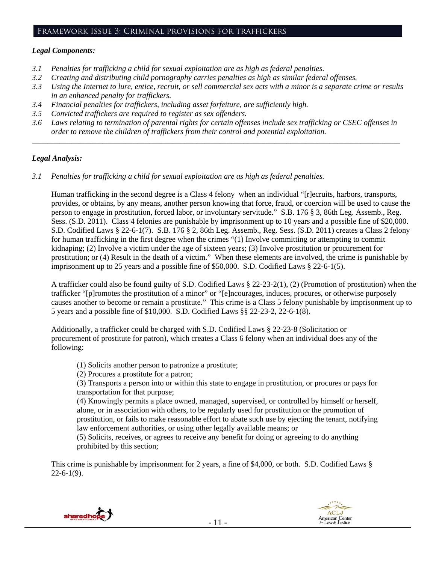#### Framework Issue 3: Criminal provisions for traffickers

#### *Legal Components:*

- *3.1 Penalties for trafficking a child for sexual exploitation are as high as federal penalties.*
- *3.2 Creating and distributing child pornography carries penalties as high as similar federal offenses.*
- *3.3 Using the Internet to lure, entice, recruit, or sell commercial sex acts with a minor is a separate crime or results in an enhanced penalty for traffickers.*
- *3.4 Financial penalties for traffickers, including asset forfeiture, are sufficiently high.*
- *3.5 Convicted traffickers are required to register as sex offenders.*
- *3.6 Laws relating to termination of parental rights for certain offenses include sex trafficking or CSEC offenses in order to remove the children of traffickers from their control and potential exploitation.*

*\_\_\_\_\_\_\_\_\_\_\_\_\_\_\_\_\_\_\_\_\_\_\_\_\_\_\_\_\_\_\_\_\_\_\_\_\_\_\_\_\_\_\_\_\_\_\_\_\_\_\_\_\_\_\_\_\_\_\_\_\_\_\_\_\_\_\_\_\_\_\_\_\_\_\_\_\_\_\_\_\_\_\_\_\_\_\_\_\_\_\_\_\_\_* 

#### *Legal Analysis:*

*3.1 Penalties for trafficking a child for sexual exploitation are as high as federal penalties.* 

Human trafficking in the second degree is a Class 4 felony when an individual "[r]ecruits, harbors, transports, provides, or obtains, by any means, another person knowing that force, fraud, or coercion will be used to cause the person to engage in prostitution, forced labor, or involuntary servitude." S.B. 176 § 3, 86th Leg. Assemb., Reg. Sess. (S.D. 2011). Class 4 felonies are punishable by imprisonment up to 10 years and a possible fine of \$20,000. S.D. Codified Laws § 22-6-1(7). S.B. 176 § 2, 86th Leg. Assemb., Reg. Sess. (S.D. 2011) creates a Class 2 felony for human trafficking in the first degree when the crimes "(1) Involve committing or attempting to commit kidnaping; (2) Involve a victim under the age of sixteen years; (3) Involve prostitution or procurement for prostitution; or (4) Result in the death of a victim." When these elements are involved, the crime is punishable by imprisonment up to 25 years and a possible fine of \$50,000. S.D. Codified Laws § 22-6-1(5).

A trafficker could also be found guilty of S.D. Codified Laws § 22-23-2(1), (2) (Promotion of prostitution) when the trafficker "[p]romotes the prostitution of a minor" or "[e]ncourages, induces, procures, or otherwise purposely causes another to become or remain a prostitute." This crime is a Class 5 felony punishable by imprisonment up to 5 years and a possible fine of \$10,000. S.D. Codified Laws §§ 22-23-2, 22-6-1(8).

Additionally, a trafficker could be charged with S.D. Codified Laws § 22-23-8 (Solicitation or procurement of prostitute for patron), which creates a Class 6 felony when an individual does any of the following:

- (1) Solicits another person to patronize a prostitute;
- (2) Procures a prostitute for a patron;

(3) Transports a person into or within this state to engage in prostitution, or procures or pays for transportation for that purpose;

(4) Knowingly permits a place owned, managed, supervised, or controlled by himself or herself, alone, or in association with others, to be regularly used for prostitution or the promotion of prostitution, or fails to make reasonable effort to abate such use by ejecting the tenant, notifying law enforcement authorities, or using other legally available means; or

(5) Solicits, receives, or agrees to receive any benefit for doing or agreeing to do anything prohibited by this section;

This crime is punishable by imprisonment for 2 years, a fine of \$4,000, or both. S.D. Codified Laws §  $22-6-1(9)$ .



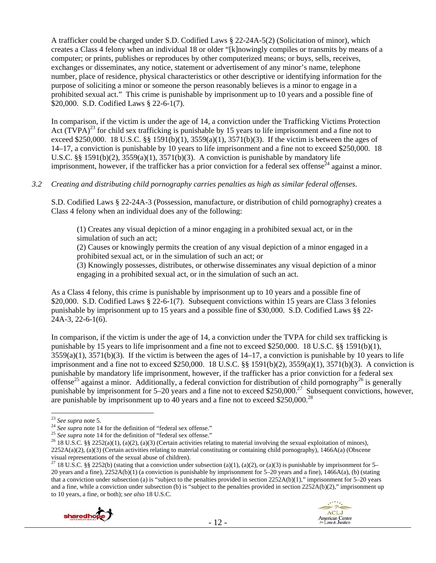A trafficker could be charged under S.D. Codified Laws § 22-24A-5(2) (Solicitation of minor), which creates a Class 4 felony when an individual 18 or older "[k]nowingly compiles or transmits by means of a computer; or prints, publishes or reproduces by other computerized means; or buys, sells, receives, exchanges or disseminates, any notice, statement or advertisement of any minor's name, telephone number, place of residence, physical characteristics or other descriptive or identifying information for the purpose of soliciting a minor or someone the person reasonably believes is a minor to engage in a prohibited sexual act." This crime is punishable by imprisonment up to 10 years and a possible fine of \$20,000. S.D. Codified Laws § 22-6-1(7).

In comparison, if the victim is under the age of 14, a conviction under the Trafficking Victims Protection Act (TVPA)<sup>23</sup> for child sex trafficking is punishable by 15 years to life imprisonment and a fine not to exceed \$250,000. 18 U.S.C. §§ 1591(b)(1),  $3559(a)(1)$ ,  $3571(b)(3)$ . If the victim is between the ages of 14–17, a conviction is punishable by 10 years to life imprisonment and a fine not to exceed \$250,000. 18 U.S.C. §§ 1591(b)(2),  $3559(a)(1)$ ,  $3571(b)(3)$ . A conviction is punishable by mandatory life imprisonment, however, if the trafficker has a prior conviction for a federal sex offense<sup>24</sup> against a minor.

### *3.2 Creating and distributing child pornography carries penalties as high as similar federal offenses*.

S.D. Codified Laws § 22-24A-3 (Possession, manufacture, or distribution of child pornography) creates a Class 4 felony when an individual does any of the following:

(1) Creates any visual depiction of a minor engaging in a prohibited sexual act, or in the simulation of such an act;

(2) Causes or knowingly permits the creation of any visual depiction of a minor engaged in a prohibited sexual act, or in the simulation of such an act; or

(3) Knowingly possesses, distributes, or otherwise disseminates any visual depiction of a minor engaging in a prohibited sexual act, or in the simulation of such an act.

As a Class 4 felony, this crime is punishable by imprisonment up to 10 years and a possible fine of \$20,000. S.D. Codified Laws § 22-6-1(7). Subsequent convictions within 15 years are Class 3 felonies punishable by imprisonment up to 15 years and a possible fine of \$30,000. S.D. Codified Laws §§ 22- 24A-3, 22-6-1(6).

In comparison, if the victim is under the age of 14, a conviction under the TVPA for child sex trafficking is punishable by 15 years to life imprisonment and a fine not to exceed \$250,000. 18 U.S.C. §§ 1591(b)(1),  $3559(a)(1)$ ,  $3571(b)(3)$ . If the victim is between the ages of  $14-17$ , a conviction is punishable by 10 years to life imprisonment and a fine not to exceed \$250,000. 18 U.S.C. §§ 1591(b)(2), 3559(a)(1), 3571(b)(3). A conviction is punishable by mandatory life imprisonment, however, if the trafficker has a prior conviction for a federal sex offense<sup>25</sup> against a minor. Additionally, a federal conviction for distribution of child pornography<sup>26</sup> is generally punishable by imprisonment for 5–20 years and a fine not to exceed \$250,000.<sup>27</sup> Subsequent convictions, however, are punishable by imprisonment up to 40 years and a fine not to exceed \$250,000.<sup>28</sup>

<sup>&</sup>lt;sup>27</sup> 18 U.S.C. §§ 2252(b) (stating that a conviction under subsection (a)(1), (a)(2), or (a)(3) is punishable by imprisonment for 5– 20 years and a fine), 2252A(b)(1) (a conviction is punishable by imprisonment for 5–20 years and a fine), 1466A(a), (b) (stating that a conviction under subsection (a) is "subject to the penalties provided in section 2252A(b)(1)," imprisonment for 5–20 years and a fine, while a conviction under subsection (b) is "subject to the penalties provided in section 2252A(b)(2)," imprisonment up to 10 years, a fine, or both); *see also* 18 U.S.C.



<sup>&</sup>lt;sup>23</sup> See supra note 5.

<sup>&</sup>lt;sup>24</sup> See supra note 14 for the definition of "federal sex offense."<br>
<sup>25</sup> See supra note 14 for the definition of "federal sex offense."<br>
<sup>25</sup> See supra note 14 for the definition of "federal sex offense."<br>
<sup>26</sup> 18 U.S.C. 2252A(a)(2), (a)(3) (Certain activities relating to material constituting or containing child pornography), 1466A(a) (Obscene visual representations of the sexual abuse of children).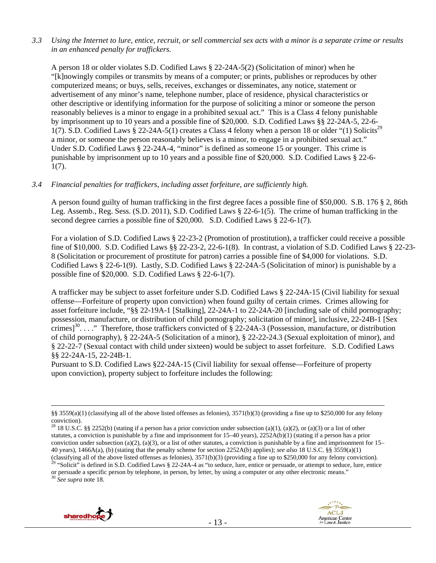*3.3 Using the Internet to lure, entice, recruit, or sell commercial sex acts with a minor is a separate crime or results in an enhanced penalty for traffickers.* 

A person 18 or older violates S.D. Codified Laws § 22-24A-5(2) (Solicitation of minor) when he "[k]nowingly compiles or transmits by means of a computer; or prints, publishes or reproduces by other computerized means; or buys, sells, receives, exchanges or disseminates, any notice, statement or advertisement of any minor's name, telephone number, place of residence, physical characteristics or other descriptive or identifying information for the purpose of soliciting a minor or someone the person reasonably believes is a minor to engage in a prohibited sexual act." This is a Class 4 felony punishable by imprisonment up to 10 years and a possible fine of \$20,000. S.D. Codified Laws §§ 22-24A-5, 22-6- 1(7). S.D. Codified Laws § 22-24A-5(1) creates a Class 4 felony when a person 18 or older "(1) Solicits<sup>29</sup> a minor, or someone the person reasonably believes is a minor, to engage in a prohibited sexual act." Under S.D. Codified Laws § 22-24A-4, "minor" is defined as someone 15 or younger. This crime is punishable by imprisonment up to 10 years and a possible fine of \$20,000. S.D. Codified Laws § 22-6- 1(7).

#### *3.4 Financial penalties for traffickers, including asset forfeiture, are sufficiently high.*

A person found guilty of human trafficking in the first degree faces a possible fine of \$50,000. S.B. 176 § 2, 86th Leg. Assemb., Reg. Sess. (S.D. 2011), S.D. Codified Laws § 22-6-1(5). The crime of human trafficking in the second degree carries a possible fine of \$20,000. S.D. Codified Laws § 22-6-1(7).

For a violation of S.D. Codified Laws § 22-23-2 (Promotion of prostitution), a trafficker could receive a possible fine of \$10,000. S.D. Codified Laws §§ 22-23-2, 22-6-1(8). In contrast, a violation of S.D. Codified Laws § 22-23- 8 (Solicitation or procurement of prostitute for patron) carries a possible fine of \$4,000 for violations. S.D. Codified Laws § 22-6-1(9). Lastly, S.D. Codified Laws § 22-24A-5 (Solicitation of minor) is punishable by a possible fine of \$20,000. S.D. Codified Laws § 22-6-1(7).

A trafficker may be subject to asset forfeiture under S.D. Codified Laws § 22-24A-15 (Civil liability for sexual offense—Forfeiture of property upon conviction) when found guilty of certain crimes. Crimes allowing for asset forfeiture include, "§§ 22-19A-1 [Stalking], 22-24A-1 to 22-24A-20 [including sale of child pornography; possession, manufacture, or distribution of child pornography; solicitation of minor], inclusive, 22-24B-1 [Sex crimes]<sup>30</sup>...." Therefore, those traffickers convicted of  $\S$  22-24A-3 (Possession, manufacture, or distribution of child pornography), § 22-24A-5 (Solicitation of a minor), § 22-22-24.3 (Sexual exploitation of minor), and § 22-22-7 (Sexual contact with child under sixteen) would be subject to asset forfeiture. S.D. Codified Laws §§ 22-24A-15, 22-24B-1.

Pursuant to S.D. Codified Laws §22-24A-15 (Civil liability for sexual offense—Forfeiture of property upon conviction), property subject to forfeiture includes the following:

or persuade a specific person by telephone, in person, by letter, by using a computer or any other electronic means." 30 *See supra* note 18.





 <sup>§§ 3559(</sup>a)(1) (classifying all of the above listed offenses as felonies), 3571(b)(3) (providing a fine up to \$250,000 for any felony conviction).

<sup>&</sup>lt;sup>28</sup> 18 U.S.C. §§ 2252(b) (stating if a person has a prior conviction under subsection (a)(1), (a)(2), or (a)(3) or a list of other statutes, a conviction is punishable by a fine and imprisonment for 15–40 years), 2252A(b)(1) (stating if a person has a prior conviction under subsection (a)(2), (a)(3), or a list of other statutes, a conviction is punishable by a fine and imprisonment for  $15-$ 40 years), 1466A(a), (b) (stating that the penalty scheme for section 2252A(b) applies); *see also* 18 U.S.C. §§ 3559(a)(1) (classifying all of the above listed offenses as felonies),  $3571(b)(3)$  (providing a fine up to \$250,000 for any felony conviction).<br><sup>29</sup> "Solicit" is defined in S.D. Codified Laws § 22-24A-4 as "to seduce, lure, entice or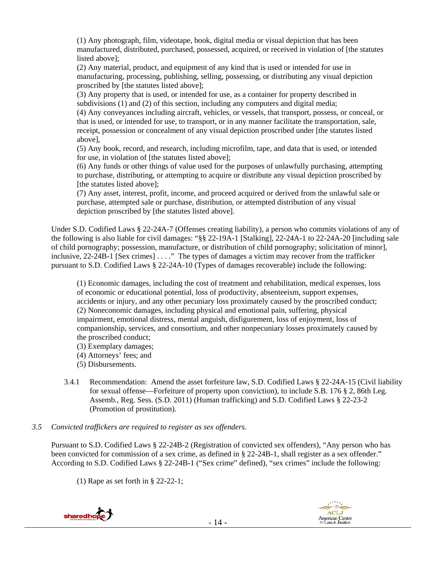(1) Any photograph, film, videotape, book, digital media or visual depiction that has been manufactured, distributed, purchased, possessed, acquired, or received in violation of [the statutes listed above];

(2) Any material, product, and equipment of any kind that is used or intended for use in manufacturing, processing, publishing, selling, possessing, or distributing any visual depiction proscribed by [the statutes listed above];

(3) Any property that is used, or intended for use, as a container for property described in subdivisions (1) and (2) of this section, including any computers and digital media;

(4) Any conveyances including aircraft, vehicles, or vessels, that transport, possess, or conceal, or that is used, or intended for use, to transport, or in any manner facilitate the transportation, sale, receipt, possession or concealment of any visual depiction proscribed under [the statutes listed above],

(5) Any book, record, and research, including microfilm, tape, and data that is used, or intended for use, in violation of [the statutes listed above];

(6) Any funds or other things of value used for the purposes of unlawfully purchasing, attempting to purchase, distributing, or attempting to acquire or distribute any visual depiction proscribed by [the statutes listed above];

(7) Any asset, interest, profit, income, and proceed acquired or derived from the unlawful sale or purchase, attempted sale or purchase, distribution, or attempted distribution of any visual depiction proscribed by [the statutes listed above].

Under S.D. Codified Laws § 22-24A-7 (Offenses creating liability), a person who commits violations of any of the following is also liable for civil damages: "§§ 22-19A-1 [Stalking], 22-24A-1 to 22-24A-20 [including sale of child pornography; possession, manufacture, or distribution of child pornography; solicitation of minor], inclusive, 22-24B-1 [Sex crimes] . . . ." The types of damages a victim may recover from the trafficker pursuant to S.D. Codified Laws § 22-24A-10 (Types of damages recoverable) include the following:

(1) Economic damages, including the cost of treatment and rehabilitation, medical expenses, loss of economic or educational potential, loss of productivity, absenteeism, support expenses, accidents or injury, and any other pecuniary loss proximately caused by the proscribed conduct; (2) Noneconomic damages, including physical and emotional pain, suffering, physical impairment, emotional distress, mental anguish, disfigurement, loss of enjoyment, loss of companionship, services, and consortium, and other nonpecuniary losses proximately caused by the proscribed conduct;

(3) Exemplary damages;

(4) Attorneys' fees; and

(5) Disbursements.

- 3.4.1 Recommendation: Amend the asset forfeiture law, S.D. Codified Laws § 22-24A-15 (Civil liability for sexual offense—Forfeiture of property upon conviction), to include S.B. 176 § 2, 86th Leg. Assemb., Reg. Sess. (S.D. 2011) (Human trafficking) and S.D. Codified Laws § 22-23-2 (Promotion of prostitution).
- *3.5 Convicted traffickers are required to register as sex offenders.*

Pursuant to S.D. Codified Laws § 22-24B-2 (Registration of convicted sex offenders), "Any person who has been convicted for commission of a sex crime, as defined in § 22-24B-1, shall register as a sex offender." According to S.D. Codified Laws § 22-24B-1 ("Sex crime" defined), "sex crimes" include the following:

(1) Rape as set forth in § 22-22-1;



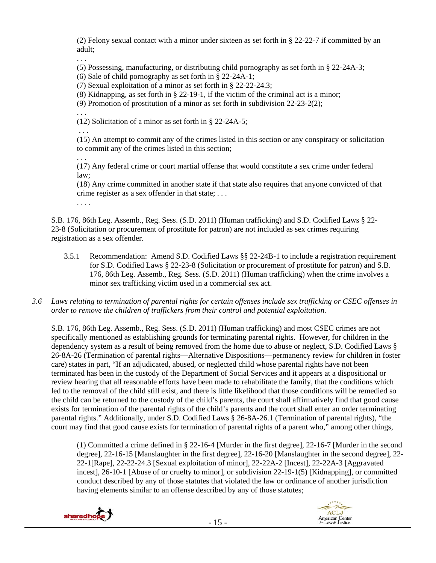(2) Felony sexual contact with a minor under sixteen as set forth in § 22-22-7 if committed by an adult;

. . .

(5) Possessing, manufacturing, or distributing child pornography as set forth in § 22-24A-3;

(6) Sale of child pornography as set forth in § 22-24A-1;

(7) Sexual exploitation of a minor as set forth in § 22-22-24.3;

(8) Kidnapping, as set forth in § 22-19-1, if the victim of the criminal act is a minor;

(9) Promotion of prostitution of a minor as set forth in subdivision 22-23-2(2);

(12) Solicitation of a minor as set forth in § 22-24A-5;

. . .

. . .

(15) An attempt to commit any of the crimes listed in this section or any conspiracy or solicitation to commit any of the crimes listed in this section;

. . .

(17) Any federal crime or court martial offense that would constitute a sex crime under federal law;

(18) Any crime committed in another state if that state also requires that anyone convicted of that crime register as a sex offender in that state; . . .

. . . .

S.B. 176, 86th Leg. Assemb., Reg. Sess. (S.D. 2011) (Human trafficking) and S.D. Codified Laws § 22- 23-8 (Solicitation or procurement of prostitute for patron) are not included as sex crimes requiring registration as a sex offender.

- 3.5.1 Recommendation: Amend S.D. Codified Laws §§ 22-24B-1 to include a registration requirement for S.D. Codified Laws § 22-23-8 (Solicitation or procurement of prostitute for patron) and S.B. 176, 86th Leg. Assemb., Reg. Sess. (S.D. 2011) (Human trafficking) when the crime involves a minor sex trafficking victim used in a commercial sex act.
- *3.6 Laws relating to termination of parental rights for certain offenses include sex trafficking or CSEC offenses in order to remove the children of traffickers from their control and potential exploitation.*

S.B. 176, 86th Leg. Assemb., Reg. Sess. (S.D. 2011) (Human trafficking) and most CSEC crimes are not specifically mentioned as establishing grounds for terminating parental rights. However, for children in the dependency system as a result of being removed from the home due to abuse or neglect, S.D. Codified Laws § 26-8A-26 (Termination of parental rights—Alternative Dispositions—permanency review for children in foster care) states in part, "If an adjudicated, abused, or neglected child whose parental rights have not been terminated has been in the custody of the Department of Social Services and it appears at a dispositional or review hearing that all reasonable efforts have been made to rehabilitate the family, that the conditions which led to the removal of the child still exist, and there is little likelihood that those conditions will be remedied so the child can be returned to the custody of the child's parents, the court shall affirmatively find that good cause exists for termination of the parental rights of the child's parents and the court shall enter an order terminating parental rights." Additionally, under S.D. Codified Laws § 26-8A-26.1 (Termination of parental rights), "the court may find that good cause exists for termination of parental rights of a parent who," among other things,

(1) Committed a crime defined in § 22-16-4 [Murder in the first degree], 22-16-7 [Murder in the second degree], 22-16-15 [Manslaughter in the first degree], 22-16-20 [Manslaughter in the second degree], 22- 22-1[Rape], 22-22-24.3 [Sexual exploitation of minor], 22-22A-2 [Incest], 22-22A-3 [Aggravated incest], 26-10-1 [Abuse of or cruelty to minor], or subdivision 22-19-1(5) [Kidnapping], or committed conduct described by any of those statutes that violated the law or ordinance of another jurisdiction having elements similar to an offense described by any of those statutes;



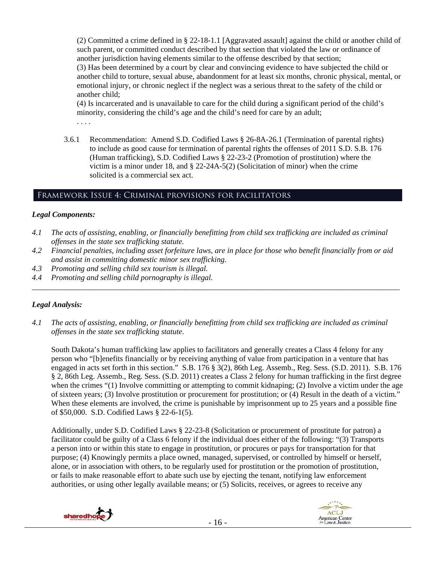(2) Committed a crime defined in § 22-18-1.1 [Aggravated assault] against the child or another child of such parent, or committed conduct described by that section that violated the law or ordinance of another jurisdiction having elements similar to the offense described by that section;

(3) Has been determined by a court by clear and convincing evidence to have subjected the child or another child to torture, sexual abuse, abandonment for at least six months, chronic physical, mental, or emotional injury, or chronic neglect if the neglect was a serious threat to the safety of the child or another child;

(4) Is incarcerated and is unavailable to care for the child during a significant period of the child's minority, considering the child's age and the child's need for care by an adult;

. . . .

3.6.1 Recommendation: Amend S.D. Codified Laws § 26-8A-26.1 (Termination of parental rights) to include as good cause for termination of parental rights the offenses of 2011 S.D. S.B. 176 (Human trafficking), S.D. Codified Laws § 22-23-2 (Promotion of prostitution) where the victim is a minor under 18, and  $\S$  22-24A-5(2) (Solicitation of minor) when the crime solicited is a commercial sex act.

## Framework Issue 4: Criminal provisions for facilitators

## *Legal Components:*

- *4.1 The acts of assisting, enabling, or financially benefitting from child sex trafficking are included as criminal offenses in the state sex trafficking statute.*
- *4.2 Financial penalties, including asset forfeiture laws, are in place for those who benefit financially from or aid and assist in committing domestic minor sex trafficking.*
- *4.3 Promoting and selling child sex tourism is illegal.*
- *4.4 Promoting and selling child pornography is illegal. \_\_\_\_\_\_\_\_\_\_\_\_\_\_\_\_\_\_\_\_\_\_\_\_\_\_\_\_\_\_\_\_\_\_\_\_\_\_\_\_\_\_\_\_\_\_\_\_\_\_\_\_\_\_\_\_\_\_\_\_\_\_\_\_\_\_\_\_\_\_\_\_\_\_\_\_\_\_\_\_\_\_\_\_\_\_\_\_\_\_\_\_\_\_*

## *Legal Analysis:*

*4.1 The acts of assisting, enabling, or financially benefitting from child sex trafficking are included as criminal offenses in the state sex trafficking statute*.

South Dakota's human trafficking law applies to facilitators and generally creates a Class 4 felony for any person who "[b]enefits financially or by receiving anything of value from participation in a venture that has engaged in acts set forth in this section." S.B. 176 § 3(2), 86th Leg. Assemb., Reg. Sess. (S.D. 2011). S.B. 176 § 2, 86th Leg. Assemb., Reg. Sess. (S.D. 2011) creates a Class 2 felony for human trafficking in the first degree when the crimes "(1) Involve committing or attempting to commit kidnaping; (2) Involve a victim under the age of sixteen years; (3) Involve prostitution or procurement for prostitution; or (4) Result in the death of a victim." When these elements are involved, the crime is punishable by imprisonment up to 25 years and a possible fine of \$50,000. S.D. Codified Laws § 22-6-1(5).

Additionally, under S.D. Codified Laws § 22-23-8 (Solicitation or procurement of prostitute for patron) a facilitator could be guilty of a Class 6 felony if the individual does either of the following: "(3) Transports a person into or within this state to engage in prostitution, or procures or pays for transportation for that purpose; (4) Knowingly permits a place owned, managed, supervised, or controlled by himself or herself, alone, or in association with others, to be regularly used for prostitution or the promotion of prostitution, or fails to make reasonable effort to abate such use by ejecting the tenant, notifying law enforcement authorities, or using other legally available means; or (5) Solicits, receives, or agrees to receive any



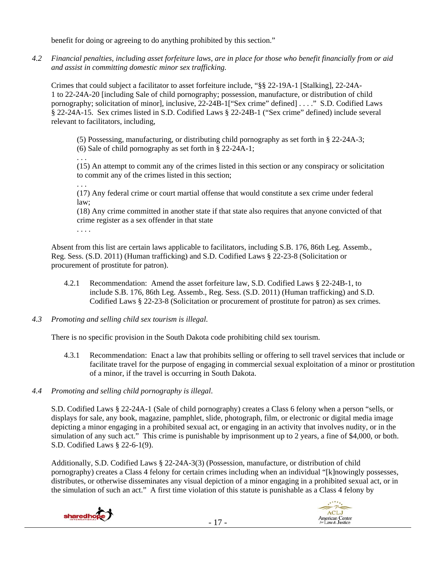benefit for doing or agreeing to do anything prohibited by this section."

*4.2 Financial penalties, including asset forfeiture laws, are in place for those who benefit financially from or aid and assist in committing domestic minor sex trafficking.* 

Crimes that could subject a facilitator to asset forfeiture include, "§§ 22-19A-1 [Stalking], 22-24A-1 to 22-24A-20 [including Sale of child pornography; possession, manufacture, or distribution of child pornography; solicitation of minor], inclusive, 22-24B-1["Sex crime" defined] . . . ." S.D. Codified Laws § 22-24A-15. Sex crimes listed in S.D. Codified Laws § 22-24B-1 ("Sex crime" defined) include several relevant to facilitators, including,

(5) Possessing, manufacturing, or distributing child pornography as set forth in § 22-24A-3; (6) Sale of child pornography as set forth in § 22-24A-1;

. . .

. . .

(15) An attempt to commit any of the crimes listed in this section or any conspiracy or solicitation to commit any of the crimes listed in this section;

(17) Any federal crime or court martial offense that would constitute a sex crime under federal law;

(18) Any crime committed in another state if that state also requires that anyone convicted of that crime register as a sex offender in that state

. . . .

Absent from this list are certain laws applicable to facilitators, including S.B. 176, 86th Leg. Assemb., Reg. Sess. (S.D. 2011) (Human trafficking) and S.D. Codified Laws § 22-23-8 (Solicitation or procurement of prostitute for patron).

- 4.2.1 Recommendation: Amend the asset forfeiture law, S.D. Codified Laws § 22-24B-1, to include S.B. 176, 86th Leg. Assemb., Reg. Sess. (S.D. 2011) (Human trafficking) and S.D. Codified Laws § 22-23-8 (Solicitation or procurement of prostitute for patron) as sex crimes.
- *4.3 Promoting and selling child sex tourism is illegal*.

There is no specific provision in the South Dakota code prohibiting child sex tourism.

- 4.3.1 Recommendation: Enact a law that prohibits selling or offering to sell travel services that include or facilitate travel for the purpose of engaging in commercial sexual exploitation of a minor or prostitution of a minor, if the travel is occurring in South Dakota.
- *4.4 Promoting and selling child pornography is illegal*.

S.D. Codified Laws § 22-24A-1 (Sale of child pornography) creates a Class 6 felony when a person "sells, or displays for sale, any book, magazine, pamphlet, slide, photograph, film, or electronic or digital media image depicting a minor engaging in a prohibited sexual act, or engaging in an activity that involves nudity, or in the simulation of any such act." This crime is punishable by imprisonment up to 2 years, a fine of \$4,000, or both. S.D. Codified Laws § 22-6-1(9).

Additionally, S.D. Codified Laws § 22-24A-3(3) (Possession, manufacture, or distribution of child pornography) creates a Class 4 felony for certain crimes including when an individual "[k]nowingly possesses, distributes, or otherwise disseminates any visual depiction of a minor engaging in a prohibited sexual act, or in the simulation of such an act." A first time violation of this statute is punishable as a Class 4 felony by



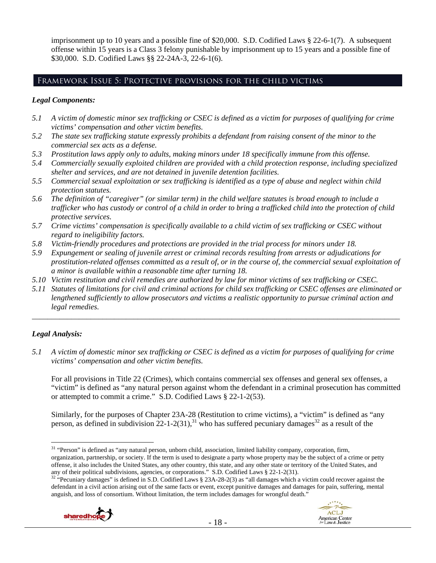imprisonment up to 10 years and a possible fine of \$20,000. S.D. Codified Laws § 22-6-1(7). A subsequent offense within 15 years is a Class 3 felony punishable by imprisonment up to 15 years and a possible fine of \$30,000. S.D. Codified Laws §§ 22-24A-3, 22-6-1(6).

## Framework Issue 5: Protective provisions for the child victims

#### *Legal Components:*

- *5.1 A victim of domestic minor sex trafficking or CSEC is defined as a victim for purposes of qualifying for crime victims' compensation and other victim benefits.*
- *5.2 The state sex trafficking statute expressly prohibits a defendant from raising consent of the minor to the commercial sex acts as a defense.*
- *5.3 Prostitution laws apply only to adults, making minors under 18 specifically immune from this offense.*
- *5.4 Commercially sexually exploited children are provided with a child protection response, including specialized shelter and services, and are not detained in juvenile detention facilities.*
- *5.5 Commercial sexual exploitation or sex trafficking is identified as a type of abuse and neglect within child protection statutes.*
- *5.6 The definition of "caregiver" (or similar term) in the child welfare statutes is broad enough to include a trafficker who has custody or control of a child in order to bring a trafficked child into the protection of child protective services.*
- *5.7 Crime victims' compensation is specifically available to a child victim of sex trafficking or CSEC without regard to ineligibility factors.*
- *5.8 Victim-friendly procedures and protections are provided in the trial process for minors under 18.*
- *5.9 Expungement or sealing of juvenile arrest or criminal records resulting from arrests or adjudications for prostitution-related offenses committed as a result of, or in the course of, the commercial sexual exploitation of a minor is available within a reasonable time after turning 18.*
- *5.10 Victim restitution and civil remedies are authorized by law for minor victims of sex trafficking or CSEC.*
- *5.11 Statutes of limitations for civil and criminal actions for child sex trafficking or CSEC offenses are eliminated or lengthened sufficiently to allow prosecutors and victims a realistic opportunity to pursue criminal action and legal remedies.*

*\_\_\_\_\_\_\_\_\_\_\_\_\_\_\_\_\_\_\_\_\_\_\_\_\_\_\_\_\_\_\_\_\_\_\_\_\_\_\_\_\_\_\_\_\_\_\_\_\_\_\_\_\_\_\_\_\_\_\_\_\_\_\_\_\_\_\_\_\_\_\_\_\_\_\_\_\_\_\_\_\_\_\_\_\_\_\_\_\_\_\_\_\_\_* 

### *Legal Analysis:*

 $\overline{a}$ 

*5.1 A victim of domestic minor sex trafficking or CSEC is defined as a victim for purposes of qualifying for crime victims' compensation and other victim benefits.* 

For all provisions in Title 22 (Crimes), which contains commercial sex offenses and general sex offenses, a "victim" is defined as "any natural person against whom the defendant in a criminal prosecution has committed or attempted to commit a crime." S.D. Codified Laws § 22-1-2(53).

Similarly, for the purposes of Chapter 23A-28 (Restitution to crime victims), a "victim" is defined as "any person, as defined in subdivision  $22$ -1-2(31),<sup>31</sup> who has suffered pecuniary damages<sup>32</sup> as a result of the

<sup>&</sup>lt;sup>32</sup> "Pecuniary damages" is defined in S.D. Codified Laws § 23A-28-2(3) as "all damages which a victim could recover against the defendant in a civil action arising out of the same facts or event, except punitive damages and damages for pain, suffering, mental anguish, and loss of consortium. Without limitation, the term includes damages for wrongful death."





<sup>&</sup>lt;sup>31</sup> "Person" is defined as "any natural person, unborn child, association, limited liability company, corporation, firm, organization, partnership, or society. If the term is used to designate a party whose property may be the subject of a crime or petty offense, it also includes the United States, any other country, this state, and any other state or territory of the United States, and any of their political subdivisions, agencies, or corporations." S.D. Codified Laws § 2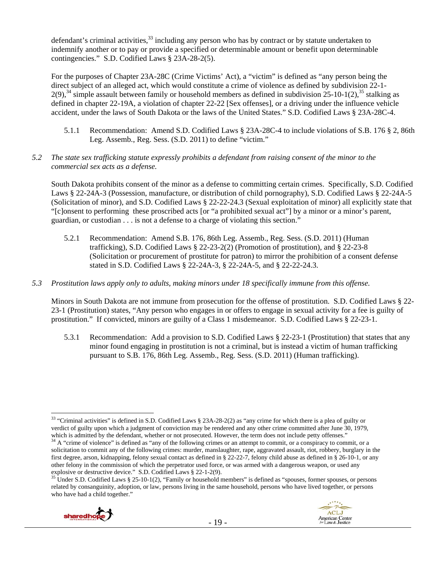defendant's criminal activities,<sup>33</sup> including any person who has by contract or by statute undertaken to indemnify another or to pay or provide a specified or determinable amount or benefit upon determinable contingencies." S.D. Codified Laws § 23A-28-2(5).

For the purposes of Chapter 23A-28C (Crime Victims' Act), a "victim" is defined as "any person being the direct subject of an alleged act, which would constitute a crime of violence as defined by subdivision 22-1- 2(9),<sup>34</sup> simple assault between family or household members as defined in subdivision 25-10-1(2),<sup>35</sup> stalking as defined in chapter 22-19A, a violation of chapter 22-22 [Sex offenses], or a driving under the influence vehicle accident, under the laws of South Dakota or the laws of the United States." S.D. Codified Laws § 23A-28C-4.

- 5.1.1 Recommendation: Amend S.D. Codified Laws § 23A-28C-4 to include violations of S.B. 176 § 2, 86th Leg. Assemb., Reg. Sess. (S.D. 2011) to define "victim."
- *5.2 The state sex trafficking statute expressly prohibits a defendant from raising consent of the minor to the commercial sex acts as a defense.*

South Dakota prohibits consent of the minor as a defense to committing certain crimes. Specifically, S.D. Codified Laws § 22-24A-3 (Possession, manufacture, or distribution of child pornography), S.D. Codified Laws § 22-24A-5 (Solicitation of minor), and S.D. Codified Laws § 22-22-24.3 (Sexual exploitation of minor) all explicitly state that "[c]onsent to performing these proscribed acts [or "a prohibited sexual act"] by a minor or a minor's parent, guardian, or custodian . . . is not a defense to a charge of violating this section."

- 5.2.1 Recommendation: Amend S.B. 176, 86th Leg. Assemb., Reg. Sess. (S.D. 2011) (Human trafficking), S.D. Codified Laws § 22-23-2(2) (Promotion of prostitution), and § 22-23-8 (Solicitation or procurement of prostitute for patron) to mirror the prohibition of a consent defense stated in S.D. Codified Laws § 22-24A-3, § 22-24A-5, and § 22-22-24.3.
- *5.3 Prostitution laws apply only to adults, making minors under 18 specifically immune from this offense.*

Minors in South Dakota are not immune from prosecution for the offense of prostitution. S.D. Codified Laws § 22- 23-1 (Prostitution) states, "Any person who engages in or offers to engage in sexual activity for a fee is guilty of prostitution." If convicted, minors are guilty of a Class 1 misdemeanor. S.D. Codified Laws § 22-23-1.

5.3.1 Recommendation: Add a provision to S.D. Codified Laws § 22-23-1 (Prostitution) that states that any minor found engaging in prostitution is not a criminal, but is instead a victim of human trafficking pursuant to S.B. 176, 86th Leg. Assemb., Reg. Sess. (S.D. 2011) (Human trafficking).

related by consanguinity, adoption, or law, persons living in the same household, persons who have lived together, or persons who have had a child together."





 $33$  "Criminal activities" is defined in S.D. Codified Laws § 23A-28-2(2) as "any crime for which there is a plea of guilty or verdict of guilty upon which a judgment of conviction may be rendered and any other crime committed after June 30, 1979, which is admitted by the defendant, whether or not prosecuted. However, the term does not include petty offenses."<br><sup>34</sup> A "crime of violence" is defined as "any of the following crimes or an attempt to commit, or a conspir

solicitation to commit any of the following crimes: murder, manslaughter, rape, aggravated assault, riot, robbery, burglary in the first degree, arson, kidnapping, felony sexual contact as defined in § 22-22-7, felony child abuse as defined in § 26-10-1, or any other felony in the commission of which the perpetrator used force, or was armed with a dangerous weapon, or used any explosive or destructive device." S.D. Codified Laws § 22-1-2(9).<br><sup>35</sup> Under S.D. Codified Laws § 25-10-1(2), "Family or household members" is defined as "spouses, former spouses, or persons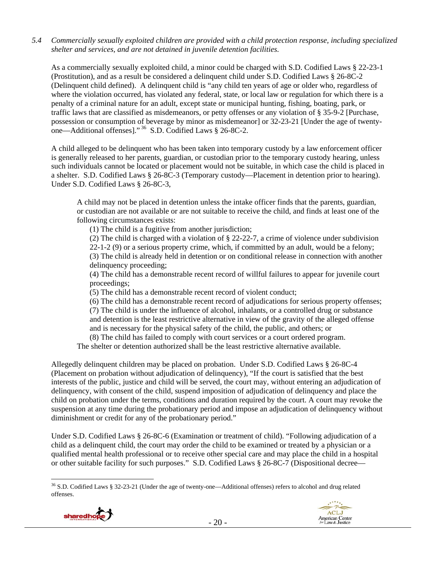*5.4 Commercially sexually exploited children are provided with a child protection response, including specialized shelter and services, and are not detained in juvenile detention facilities.* 

As a commercially sexually exploited child, a minor could be charged with S.D. Codified Laws § 22-23-1 (Prostitution), and as a result be considered a delinquent child under S.D. Codified Laws § 26-8C-2 (Delinquent child defined). A delinquent child is "any child ten years of age or older who, regardless of where the violation occurred, has violated any federal, state, or local law or regulation for which there is a penalty of a criminal nature for an adult, except state or municipal hunting, fishing, boating, park, or traffic laws that are classified as misdemeanors, or petty offenses or any violation of § 35-9-2 [Purchase, possession or consumption of beverage by minor as misdemeanor] or 32-23-21 [Under the age of twentyone—Additional offenses]." 36 S.D. Codified Laws § 26-8C-2.

A child alleged to be delinquent who has been taken into temporary custody by a law enforcement officer is generally released to her parents, guardian, or custodian prior to the temporary custody hearing, unless such individuals cannot be located or placement would not be suitable, in which case the child is placed in a shelter. S.D. Codified Laws § 26-8C-3 (Temporary custody—Placement in detention prior to hearing). Under S.D. Codified Laws § 26-8C-3,

A child may not be placed in detention unless the intake officer finds that the parents, guardian, or custodian are not available or are not suitable to receive the child, and finds at least one of the following circumstances exists:

(1) The child is a fugitive from another jurisdiction;

(2) The child is charged with a violation of § 22-22-7, a crime of violence under subdivision 22-1-2 (9) or a serious property crime, which, if committed by an adult, would be a felony; (3) The child is already held in detention or on conditional release in connection with another delinquency proceeding;

(4) The child has a demonstrable recent record of willful failures to appear for juvenile court proceedings;

(5) The child has a demonstrable recent record of violent conduct;

(6) The child has a demonstrable recent record of adjudications for serious property offenses; (7) The child is under the influence of alcohol, inhalants, or a controlled drug or substance and detention is the least restrictive alternative in view of the gravity of the alleged offense and is necessary for the physical safety of the child, the public, and others; or

(8) The child has failed to comply with court services or a court ordered program.

The shelter or detention authorized shall be the least restrictive alternative available.

Allegedly delinquent children may be placed on probation. Under S.D. Codified Laws § 26-8C-4 (Placement on probation without adjudication of delinquency), "If the court is satisfied that the best interests of the public, justice and child will be served, the court may, without entering an adjudication of delinquency, with consent of the child, suspend imposition of adjudication of delinquency and place the child on probation under the terms, conditions and duration required by the court. A court may revoke the suspension at any time during the probationary period and impose an adjudication of delinquency without diminishment or credit for any of the probationary period."

Under S.D. Codified Laws § 26-8C-6 (Examination or treatment of child). "Following adjudication of a child as a delinquent child, the court may order the child to be examined or treated by a physician or a qualified mental health professional or to receive other special care and may place the child in a hospital or other suitable facility for such purposes." S.D. Codified Laws § 26-8C-7 (Dispositional decree—

 $\overline{a}$  $36$  S.D. Codified Laws § 32-23-21 (Under the age of twenty-one—Additional offenses) refers to alcohol and drug related offenses.

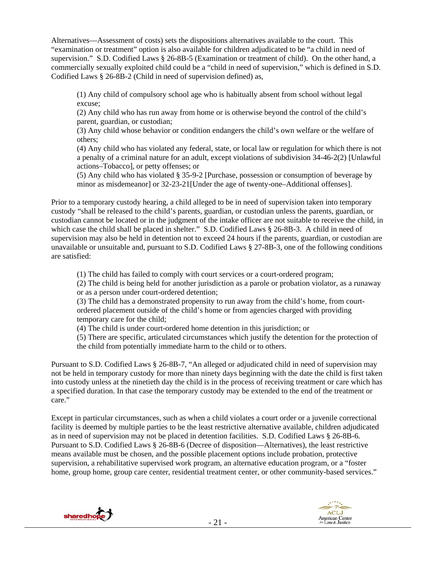Alternatives—Assessment of costs) sets the dispositions alternatives available to the court. This "examination or treatment" option is also available for children adjudicated to be "a child in need of supervision." S.D. Codified Laws § 26-8B-5 (Examination or treatment of child). On the other hand, a commercially sexually exploited child could be a "child in need of supervision," which is defined in S.D. Codified Laws § 26-8B-2 (Child in need of supervision defined) as,

(1) Any child of compulsory school age who is habitually absent from school without legal excuse;

(2) Any child who has run away from home or is otherwise beyond the control of the child's parent, guardian, or custodian;

(3) Any child whose behavior or condition endangers the child's own welfare or the welfare of others;

(4) Any child who has violated any federal, state, or local law or regulation for which there is not a penalty of a criminal nature for an adult, except violations of subdivision 34-46-2(2) [Unlawful actions–Tobacco], or petty offenses; or

(5) Any child who has violated § 35-9-2 [Purchase, possession or consumption of beverage by minor as misdemeanor] or 32-23-21[Under the age of twenty-one–Additional offenses].

Prior to a temporary custody hearing, a child alleged to be in need of supervision taken into temporary custody "shall be released to the child's parents, guardian, or custodian unless the parents, guardian, or custodian cannot be located or in the judgment of the intake officer are not suitable to receive the child, in which case the child shall be placed in shelter." S.D. Codified Laws § 26-8B-3. A child in need of supervision may also be held in detention not to exceed 24 hours if the parents, guardian, or custodian are unavailable or unsuitable and, pursuant to S.D. Codified Laws § 27-8B-3, one of the following conditions are satisfied:

(1) The child has failed to comply with court services or a court-ordered program;

(2) The child is being held for another jurisdiction as a parole or probation violator, as a runaway or as a person under court-ordered detention;

(3) The child has a demonstrated propensity to run away from the child's home, from courtordered placement outside of the child's home or from agencies charged with providing temporary care for the child;

(4) The child is under court-ordered home detention in this jurisdiction; or

(5) There are specific, articulated circumstances which justify the detention for the protection of the child from potentially immediate harm to the child or to others.

Pursuant to S.D. Codified Laws § 26-8B-7, "An alleged or adjudicated child in need of supervision may not be held in temporary custody for more than ninety days beginning with the date the child is first taken into custody unless at the ninetieth day the child is in the process of receiving treatment or care which has a specified duration. In that case the temporary custody may be extended to the end of the treatment or care."

Except in particular circumstances, such as when a child violates a court order or a juvenile correctional facility is deemed by multiple parties to be the least restrictive alternative available, children adjudicated as in need of supervision may not be placed in detention facilities. S.D. Codified Laws § 26-8B-6. Pursuant to S.D. Codified Laws § 26-8B-6 (Decree of disposition—Alternatives), the least restrictive means available must be chosen, and the possible placement options include probation, protective supervision, a rehabilitative supervised work program, an alternative education program, or a "foster home, group home, group care center, residential treatment center, or other community-based services."



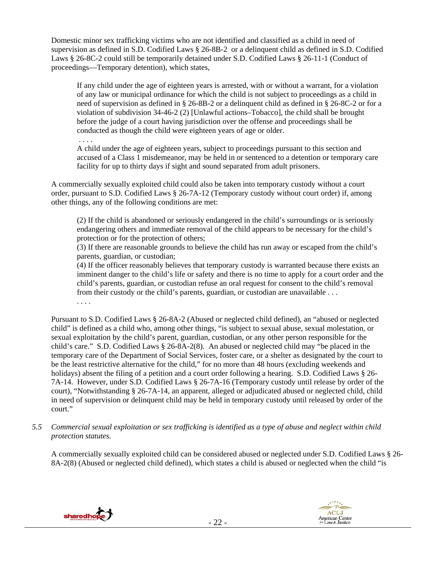Domestic minor sex trafficking victims who are not identified and classified as a child in need of supervision as defined in S.D. Codified Laws § 26-8B-2 or a delinquent child as defined in S.D. Codified Laws § 26-8C-2 could still be temporarily detained under S.D. Codified Laws § 26-11-1 (Conduct of proceedings—Temporary detention), which states,

If any child under the age of eighteen years is arrested, with or without a warrant, for a violation of any law or municipal ordinance for which the child is not subject to proceedings as a child in need of supervision as defined in § 26-8B-2 or a delinquent child as defined in § 26-8C-2 or for a violation of subdivision 34-46-2 (2) [Unlawful actions–Tobacco], the child shall be brought before the judge of a court having jurisdiction over the offense and proceedings shall be conducted as though the child were eighteen years of age or older.

. . . .

A child under the age of eighteen years, subject to proceedings pursuant to this section and accused of a Class 1 misdemeanor, may be held in or sentenced to a detention or temporary care facility for up to thirty days if sight and sound separated from adult prisoners.

A commercially sexually exploited child could also be taken into temporary custody without a court order, pursuant to S.D. Codified Laws § 26-7A-12 (Temporary custody without court order) if, among other things, any of the following conditions are met:

(2) If the child is abandoned or seriously endangered in the child's surroundings or is seriously endangering others and immediate removal of the child appears to be necessary for the child's protection or for the protection of others;

(3) If there are reasonable grounds to believe the child has run away or escaped from the child's parents, guardian, or custodian;

(4) If the officer reasonably believes that temporary custody is warranted because there exists an imminent danger to the child's life or safety and there is no time to apply for a court order and the child's parents, guardian, or custodian refuse an oral request for consent to the child's removal from their custody or the child's parents, guardian, or custodian are unavailable . . .

. . . .

Pursuant to S.D. Codified Laws § 26-8A-2 (Abused or neglected child defined), an "abused or neglected child" is defined as a child who, among other things, "is subject to sexual abuse, sexual molestation, or sexual exploitation by the child's parent, guardian, custodian, or any other person responsible for the child's care." S.D. Codified Laws § 26-8A-2(8). An abused or neglected child may "be placed in the temporary care of the Department of Social Services, foster care, or a shelter as designated by the court to be the least restrictive alternative for the child," for no more than 48 hours (excluding weekends and holidays) absent the filing of a petition and a court order following a hearing. S.D. Codified Laws § 26- 7A-14. However, under S.D. Codified Laws § 26-7A-16 (Temporary custody until release by order of the court), "Notwithstanding § 26-7A-14, an apparent, alleged or adjudicated abused or neglected child, child in need of supervision or delinquent child may be held in temporary custody until released by order of the court."

*5.5 Commercial sexual exploitation or sex trafficking is identified as a type of abuse and neglect within child protection statutes.*

A commercially sexually exploited child can be considered abused or neglected under S.D. Codified Laws § 26- 8A-2(8) (Abused or neglected child defined), which states a child is abused or neglected when the child "is



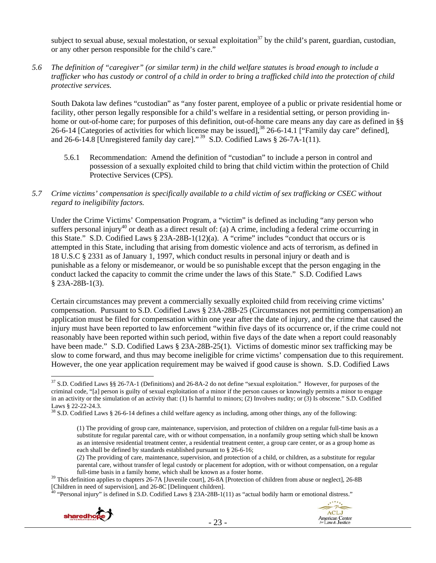subject to sexual abuse, sexual molestation, or sexual exploitation<sup>37</sup> by the child's parent, guardian, custodian, or any other person responsible for the child's care."

*5.6 The definition of "caregiver" (or similar term) in the child welfare statutes is broad enough to include a trafficker who has custody or control of a child in order to bring a trafficked child into the protection of child protective services.* 

South Dakota law defines "custodian" as "any foster parent, employee of a public or private residential home or facility, other person legally responsible for a child's welfare in a residential setting, or person providing inhome or out-of-home care; for purposes of this definition, out-of-home care means any day care as defined in §§ 26-6-14 [Categories of activities for which license may be issued],<sup>38</sup> 26-6-14.1 ["Family day care" defined], and 26-6-14.8 [Unregistered family day care]."  $^{39}$  S.D. Codified Laws § 26-7A-1(11).

- 5.6.1 Recommendation: Amend the definition of "custodian" to include a person in control and possession of a sexually exploited child to bring that child victim within the protection of Child Protective Services (CPS).
- *5.7 Crime victims' compensation is specifically available to a child victim of sex trafficking or CSEC without regard to ineligibility factors.*

Under the Crime Victims' Compensation Program, a "victim" is defined as including "any person who suffers personal injury<sup>40</sup> or death as a direct result of: (a) A crime, including a federal crime occurring in this State." S.D. Codified Laws § 23A-28B-1(12)(a). A "crime" includes "conduct that occurs or is attempted in this State, including that arising from domestic violence and acts of terrorism, as defined in 18 U.S.C § 2331 as of January 1, 1997, which conduct results in personal injury or death and is punishable as a felony or misdemeanor, or would be so punishable except that the person engaging in the conduct lacked the capacity to commit the crime under the laws of this State." S.D. Codified Laws § 23A-28B-1(3).

Certain circumstances may prevent a commercially sexually exploited child from receiving crime victims' compensation. Pursuant to S.D. Codified Laws § 23A-28B-25 (Circumstances not permitting compensation) an application must be filed for compensation within one year after the date of injury, and the crime that caused the injury must have been reported to law enforcement "within five days of its occurrence or, if the crime could not reasonably have been reported within such period, within five days of the date when a report could reasonably have been made." S.D. Codified Laws § 23A-28B-25(1). Victims of domestic minor sex trafficking may be slow to come forward, and thus may become ineligible for crime victims' compensation due to this requirement. However, the one year application requirement may be waived if good cause is shown. S.D. Codified Laws

 $^{40}$  "Personal injury" is defined in S.D. Codified Laws § 23A-28B-1(11) as "actual bodily harm or emotional distress."





 $\overline{a}$ <sup>37</sup> S.D. Codified Laws §§ 26-7A-1 (Definitions) and 26-8A-2 do not define "sexual exploitation." However, for purposes of the criminal code, "[a] person is guilty of sexual exploitation of a minor if the person causes or knowingly permits a minor to engage in an activity or the simulation of an activity that: (1) Is harmful to minors; (2) Involves nudity; or (3) Is obscene." S.D. Codified Laws § 22-22-24.3.

 $38$  S.D. Codified Laws § 26-6-14 defines a child welfare agency as including, among other things, any of the following:

<sup>(1)</sup> The providing of group care, maintenance, supervision, and protection of children on a regular full-time basis as a substitute for regular parental care, with or without compensation, in a nonfamily group setting which shall be known as an intensive residential treatment center, a residential treatment center, a group care center, or as a group home as each shall be defined by standards established pursuant to § 26-6-16;

<sup>(2)</sup> The providing of care, maintenance, supervision, and protection of a child, or children, as a substitute for regular parental care, without transfer of legal custody or placement for adoption, with or without compensation, on a regular

full-time basis in a family home, which shall be known as a foster home.<br><sup>39</sup> This definition applies to chapters 26-7A [Juvenile court], 26-8A [Protection of children from abuse or neglect], 26-8B<br>[Children in need of sup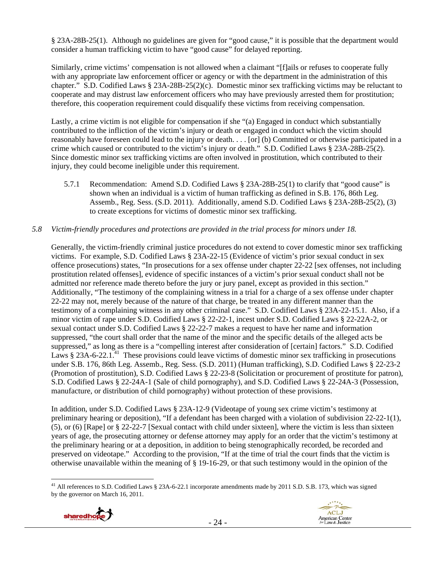§ 23A-28B-25(1). Although no guidelines are given for "good cause," it is possible that the department would consider a human trafficking victim to have "good cause" for delayed reporting.

Similarly, crime victims' compensation is not allowed when a claimant "[f]ails or refuses to cooperate fully with any appropriate law enforcement officer or agency or with the department in the administration of this chapter." S.D. Codified Laws § 23A-28B-25(2)(c). Domestic minor sex trafficking victims may be reluctant to cooperate and may distrust law enforcement officers who may have previously arrested them for prostitution; therefore, this cooperation requirement could disqualify these victims from receiving compensation.

Lastly, a crime victim is not eligible for compensation if she "(a) Engaged in conduct which substantially contributed to the infliction of the victim's injury or death or engaged in conduct which the victim should reasonably have foreseen could lead to the injury or death. . . . [or] (b) Committed or otherwise participated in a crime which caused or contributed to the victim's injury or death." S.D. Codified Laws § 23A-28B-25(2). Since domestic minor sex trafficking victims are often involved in prostitution, which contributed to their injury, they could become ineligible under this requirement.

5.7.1 Recommendation: Amend S.D. Codified Laws § 23A-28B-25(1) to clarify that "good cause" is shown when an individual is a victim of human trafficking as defined in S.B. 176, 86th Leg. Assemb., Reg. Sess. (S.D. 2011). Additionally, amend S.D. Codified Laws § 23A-28B-25(2), (3) to create exceptions for victims of domestic minor sex trafficking.

### *5.8 Victim-friendly procedures and protections are provided in the trial process for minors under 18.*

Generally, the victim-friendly criminal justice procedures do not extend to cover domestic minor sex trafficking victims. For example, S.D. Codified Laws § 23A-22-15 (Evidence of victim's prior sexual conduct in sex offence prosecutions) states, "In prosecutions for a sex offense under chapter 22-22 [sex offenses, not including prostitution related offenses], evidence of specific instances of a victim's prior sexual conduct shall not be admitted nor reference made thereto before the jury or jury panel, except as provided in this section." Additionally, "The testimony of the complaining witness in a trial for a charge of a sex offense under chapter 22-22 may not, merely because of the nature of that charge, be treated in any different manner than the testimony of a complaining witness in any other criminal case." S.D. Codified Laws § 23A-22-15.1. Also, if a minor victim of rape under S.D. Codified Laws § 22-22-1, incest under S.D. Codified Laws § 22-22A-2, or sexual contact under S.D. Codified Laws § 22-22-7 makes a request to have her name and information suppressed, "the court shall order that the name of the minor and the specific details of the alleged acts be suppressed," as long as there is a "compelling interest after consideration of [certain] factors." S.D. Codified Laws  $§$  23A-6-22.1<sup>.41</sup> These provisions could leave victims of domestic minor sex trafficking in prosecutions under S.B. 176, 86th Leg. Assemb., Reg. Sess. (S.D. 2011) (Human trafficking), S.D. Codified Laws § 22-23-2 (Promotion of prostitution), S.D. Codified Laws § 22-23-8 (Solicitation or procurement of prostitute for patron), S.D. Codified Laws § 22-24A-1 (Sale of child pornography), and S.D. Codified Laws § 22-24A-3 (Possession, manufacture, or distribution of child pornography) without protection of these provisions.

In addition, under S.D. Codified Laws § 23A-12-9 (Videotape of young sex crime victim's testimony at preliminary hearing or deposition), "If a defendant has been charged with a violation of subdivision 22-22-1(1), (5), or (6) [Rape] or § 22-22-7 [Sexual contact with child under sixteen], where the victim is less than sixteen years of age, the prosecuting attorney or defense attorney may apply for an order that the victim's testimony at the preliminary hearing or at a deposition, in addition to being stenographically recorded, be recorded and preserved on videotape." According to the provision, "If at the time of trial the court finds that the victim is otherwise unavailable within the meaning of § 19-16-29, or that such testimony would in the opinion of the

 $\overline{a}$ <sup>41</sup> All references to S.D. Codified Laws § 23A-6-22.1 incorporate amendments made by 2011 S.D. S.B. 173, which was signed by the governor on March 16, 2011.

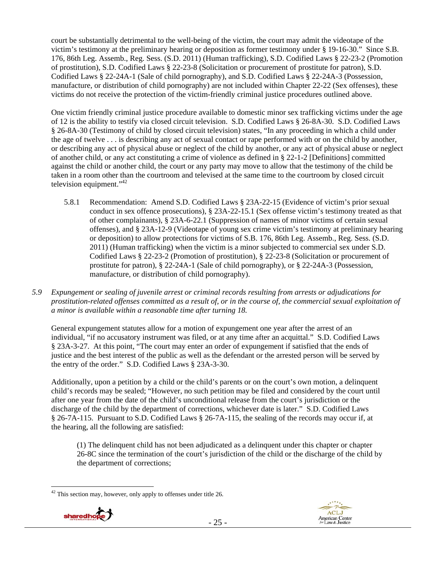court be substantially detrimental to the well-being of the victim, the court may admit the videotape of the victim's testimony at the preliminary hearing or deposition as former testimony under § 19-16-30." Since S.B. 176, 86th Leg. Assemb., Reg. Sess. (S.D. 2011) (Human trafficking), S.D. Codified Laws § 22-23-2 (Promotion of prostitution), S.D. Codified Laws § 22-23-8 (Solicitation or procurement of prostitute for patron), S.D. Codified Laws § 22-24A-1 (Sale of child pornography), and S.D. Codified Laws § 22-24A-3 (Possession, manufacture, or distribution of child pornography) are not included within Chapter 22-22 (Sex offenses), these victims do not receive the protection of the victim-friendly criminal justice procedures outlined above.

One victim friendly criminal justice procedure available to domestic minor sex trafficking victims under the age of 12 is the ability to testify via closed circuit television. S.D. Codified Laws § 26-8A-30. S.D. Codified Laws § 26-8A-30 (Testimony of child by closed circuit television) states, "In any proceeding in which a child under the age of twelve . . . is describing any act of sexual contact or rape performed with or on the child by another, or describing any act of physical abuse or neglect of the child by another, or any act of physical abuse or neglect of another child, or any act constituting a crime of violence as defined in § 22-1-2 [Definitions] committed against the child or another child, the court or any party may move to allow that the testimony of the child be taken in a room other than the courtroom and televised at the same time to the courtroom by closed circuit television equipment."<sup>42</sup>

- 5.8.1 Recommendation: Amend S.D. Codified Laws § 23A-22-15 (Evidence of victim's prior sexual conduct in sex offence prosecutions), § 23A-22-15.1 (Sex offense victim's testimony treated as that of other complainants), § 23A-6-22.1 (Suppression of names of minor victims of certain sexual offenses), and § 23A-12-9 (Videotape of young sex crime victim's testimony at preliminary hearing or deposition) to allow protections for victims of S.B. 176, 86th Leg. Assemb., Reg. Sess. (S.D. 2011) (Human trafficking) when the victim is a minor subjected to commercial sex under S.D. Codified Laws § 22-23-2 (Promotion of prostitution), § 22-23-8 (Solicitation or procurement of prostitute for patron), § 22-24A-1 (Sale of child pornography), or § 22-24A-3 (Possession, manufacture, or distribution of child pornography).
- *5.9 Expungement or sealing of juvenile arrest or criminal records resulting from arrests or adjudications for prostitution-related offenses committed as a result of, or in the course of, the commercial sexual exploitation of a minor is available within a reasonable time after turning 18.*

General expungement statutes allow for a motion of expungement one year after the arrest of an individual, "if no accusatory instrument was filed, or at any time after an acquittal." S.D. Codified Laws § 23A-3-27. At this point, "The court may enter an order of expungement if satisfied that the ends of justice and the best interest of the public as well as the defendant or the arrested person will be served by the entry of the order." S.D. Codified Laws § 23A-3-30.

Additionally, upon a petition by a child or the child's parents or on the court's own motion, a delinquent child's records may be sealed; "However, no such petition may be filed and considered by the court until after one year from the date of the child's unconditional release from the court's jurisdiction or the discharge of the child by the department of corrections, whichever date is later." S.D. Codified Laws § 26-7A-115. Pursuant to S.D. Codified Laws § 26-7A-115, the sealing of the records may occur if, at the hearing, all the following are satisfied:

(1) The delinquent child has not been adjudicated as a delinquent under this chapter or chapter 26-8C since the termination of the court's jurisdiction of the child or the discharge of the child by the department of corrections;

 $\overline{a}$  $42$  This section may, however, only apply to offenses under title 26.



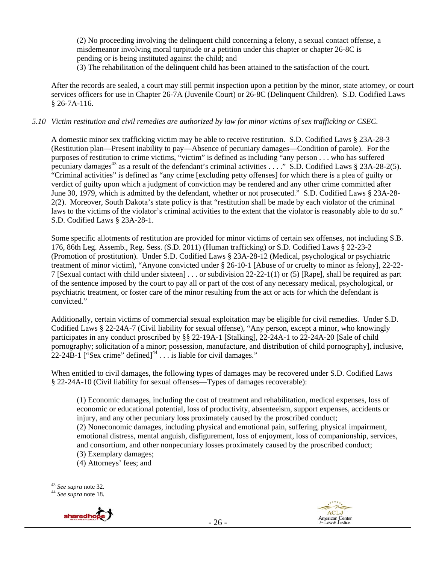(2) No proceeding involving the delinquent child concerning a felony, a sexual contact offense, a misdemeanor involving moral turpitude or a petition under this chapter or chapter 26-8C is pending or is being instituted against the child; and

(3) The rehabilitation of the delinquent child has been attained to the satisfaction of the court.

After the records are sealed, a court may still permit inspection upon a petition by the minor, state attorney, or court services officers for use in Chapter 26-7A (Juvenile Court) or 26-8C (Delinquent Children). S.D. Codified Laws § 26-7A-116.

#### *5.10 Victim restitution and civil remedies are authorized by law for minor victims of sex trafficking or CSEC.*

A domestic minor sex trafficking victim may be able to receive restitution. S.D. Codified Laws § 23A-28-3 (Restitution plan—Present inability to pay—Absence of pecuniary damages—Condition of parole). For the purposes of restitution to crime victims, "victim" is defined as including "any person . . . who has suffered pecuniary damages<sup>43</sup> as a result of the defendant's criminal activities . . . ." S.D. Codified Laws § 23A-28-2(5). "Criminal activities" is defined as "any crime [excluding petty offenses] for which there is a plea of guilty or verdict of guilty upon which a judgment of conviction may be rendered and any other crime committed after June 30, 1979, which is admitted by the defendant, whether or not prosecuted." S.D. Codified Laws § 23A-28- 2(2). Moreover, South Dakota's state policy is that "restitution shall be made by each violator of the criminal laws to the victims of the violator's criminal activities to the extent that the violator is reasonably able to do so." S.D. Codified Laws § 23A-28-1.

Some specific allotments of restitution are provided for minor victims of certain sex offenses, not including S.B. 176, 86th Leg. Assemb., Reg. Sess. (S.D. 2011) (Human trafficking) or S.D. Codified Laws § 22-23-2 (Promotion of prostitution). Under S.D. Codified Laws § 23A-28-12 (Medical, psychological or psychiatric treatment of minor victim), "Anyone convicted under § 26-10-1 [Abuse of or cruelty to minor as felony], 22-22- 7 [Sexual contact with child under sixteen] . . . or subdivision 22-22-1(1) or (5) [Rape], shall be required as part of the sentence imposed by the court to pay all or part of the cost of any necessary medical, psychological, or psychiatric treatment, or foster care of the minor resulting from the act or acts for which the defendant is convicted."

Additionally, certain victims of commercial sexual exploitation may be eligible for civil remedies. Under S.D. Codified Laws § 22-24A-7 (Civil liability for sexual offense), "Any person, except a minor, who knowingly participates in any conduct proscribed by §§ 22-19A-1 [Stalking], 22-24A-1 to 22-24A-20 [Sale of child pornography; solicitation of a minor; possession, manufacture, and distribution of child pornography], inclusive, 22-24B-1 ["Sex crime" defined] $44$ ... is liable for civil damages."

When entitled to civil damages, the following types of damages may be recovered under S.D. Codified Laws § 22-24A-10 (Civil liability for sexual offenses—Types of damages recoverable):

(1) Economic damages, including the cost of treatment and rehabilitation, medical expenses, loss of economic or educational potential, loss of productivity, absenteeism, support expenses, accidents or injury, and any other pecuniary loss proximately caused by the proscribed conduct; (2) Noneconomic damages, including physical and emotional pain, suffering, physical impairment, emotional distress, mental anguish, disfigurement, loss of enjoyment, loss of companionship, services, and consortium, and other nonpecuniary losses proximately caused by the proscribed conduct; (3) Exemplary damages;

(4) Attorneys' fees; and





 $\overline{a}$ <sup>43</sup> *See supra* note 32. 44 *See supra* note 18.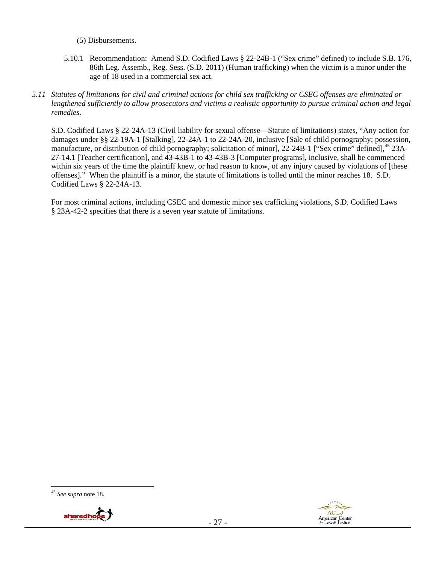(5) Disbursements.

- 5.10.1 Recommendation: Amend S.D. Codified Laws § 22-24B-1 ("Sex crime" defined) to include S.B. 176, 86th Leg. Assemb., Reg. Sess. (S.D. 2011) (Human trafficking) when the victim is a minor under the age of 18 used in a commercial sex act.
- *5.11 Statutes of limitations for civil and criminal actions for child sex trafficking or CSEC offenses are eliminated or lengthened sufficiently to allow prosecutors and victims a realistic opportunity to pursue criminal action and legal remedies.*

S.D. Codified Laws § 22-24A-13 (Civil liability for sexual offense—Statute of limitations) states, "Any action for damages under §§ 22-19A-1 [Stalking], 22-24A-1 to 22-24A-20, inclusive [Sale of child pornography; possession, manufacture, or distribution of child pornography; solicitation of minor], 22-24B-1 ["Sex crime" defined],<sup>45</sup> 23A-27-14.1 [Teacher certification], and 43-43B-1 to 43-43B-3 [Computer programs], inclusive, shall be commenced within six years of the time the plaintiff knew, or had reason to know, of any injury caused by violations of [these offenses]." When the plaintiff is a minor, the statute of limitations is tolled until the minor reaches 18. S.D. Codified Laws § 22-24A-13.

For most criminal actions, including CSEC and domestic minor sex trafficking violations, S.D. Codified Laws § 23A-42-2 specifies that there is a seven year statute of limitations.

 $\overline{a}$ <sup>45</sup> *See supra* note 18.



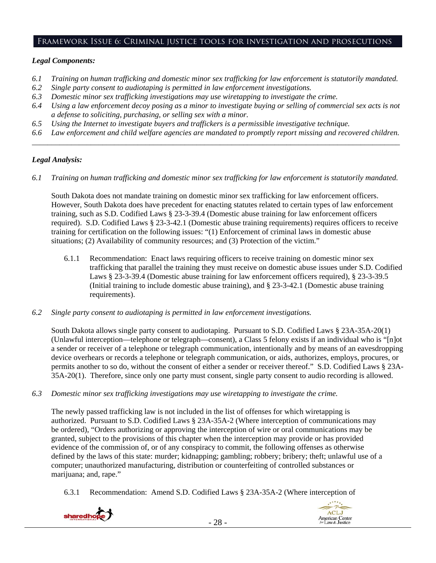#### Framework Issue 6: Criminal justice tools for investigation and prosecutions

#### *Legal Components:*

- *6.1 Training on human trafficking and domestic minor sex trafficking for law enforcement is statutorily mandated.*
- *6.2 Single party consent to audiotaping is permitted in law enforcement investigations.*
- *6.3 Domestic minor sex trafficking investigations may use wiretapping to investigate the crime.*
- *6.4 Using a law enforcement decoy posing as a minor to investigate buying or selling of commercial sex acts is not a defense to soliciting, purchasing, or selling sex with a minor.*
- *6.5 Using the Internet to investigate buyers and traffickers is a permissible investigative technique.*
- *6.6 Law enforcement and child welfare agencies are mandated to promptly report missing and recovered children. \_\_\_\_\_\_\_\_\_\_\_\_\_\_\_\_\_\_\_\_\_\_\_\_\_\_\_\_\_\_\_\_\_\_\_\_\_\_\_\_\_\_\_\_\_\_\_\_\_\_\_\_\_\_\_\_\_\_\_\_\_\_\_\_\_\_\_\_\_\_\_\_\_\_\_\_\_\_\_\_\_\_\_\_\_\_\_\_\_\_\_\_\_\_*

#### *Legal Analysis:*

*6.1 Training on human trafficking and domestic minor sex trafficking for law enforcement is statutorily mandated.* 

South Dakota does not mandate training on domestic minor sex trafficking for law enforcement officers. However, South Dakota does have precedent for enacting statutes related to certain types of law enforcement training, such as S.D. Codified Laws § 23-3-39.4 (Domestic abuse training for law enforcement officers required). S.D. Codified Laws § 23-3-42.1 (Domestic abuse training requirements) requires officers to receive training for certification on the following issues: "(1) Enforcement of criminal laws in domestic abuse situations; (2) Availability of community resources; and (3) Protection of the victim."

- 6.1.1 Recommendation: Enact laws requiring officers to receive training on domestic minor sex trafficking that parallel the training they must receive on domestic abuse issues under S.D. Codified Laws § 23-3-39.4 (Domestic abuse training for law enforcement officers required), § 23-3-39.5 (Initial training to include domestic abuse training), and § 23-3-42.1 (Domestic abuse training requirements).
- *6.2 Single party consent to audiotaping is permitted in law enforcement investigations.*

South Dakota allows single party consent to audiotaping. Pursuant to S.D. Codified Laws § 23A-35A-20(1) (Unlawful interception—telephone or telegraph—consent), a Class 5 felony exists if an individual who is "[n]ot a sender or receiver of a telephone or telegraph communication, intentionally and by means of an eavesdropping device overhears or records a telephone or telegraph communication, or aids, authorizes, employs, procures, or permits another to so do, without the consent of either a sender or receiver thereof." S.D. Codified Laws § 23A-35A-20(1). Therefore, since only one party must consent, single party consent to audio recording is allowed.

*6.3 Domestic minor sex trafficking investigations may use wiretapping to investigate the crime.* 

The newly passed trafficking law is not included in the list of offenses for which wiretapping is authorized. Pursuant to S.D. Codified Laws § 23A-35A-2 (Where interception of communications may be ordered), "Orders authorizing or approving the interception of wire or oral communications may be granted, subject to the provisions of this chapter when the interception may provide or has provided evidence of the commission of, or of any conspiracy to commit, the following offenses as otherwise defined by the laws of this state: murder; kidnapping; gambling; robbery; bribery; theft; unlawful use of a computer; unauthorized manufacturing, distribution or counterfeiting of controlled substances or marijuana; and, rape."

6.3.1 Recommendation: Amend S.D. Codified Laws § 23A-35A-2 (Where interception of



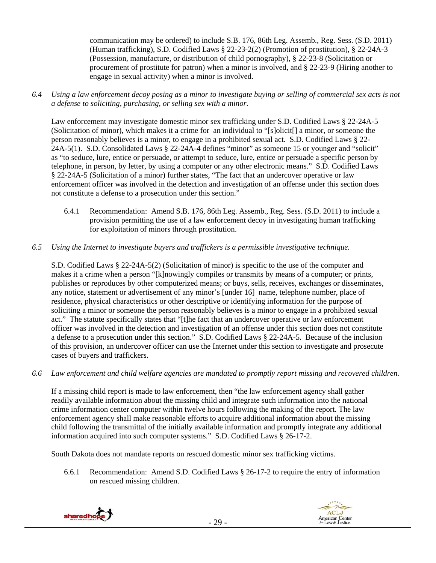communication may be ordered) to include S.B. 176, 86th Leg. Assemb., Reg. Sess. (S.D. 2011) (Human trafficking), S.D. Codified Laws § 22-23-2(2) (Promotion of prostitution), § 22-24A-3 (Possession, manufacture, or distribution of child pornography), § 22-23-8 (Solicitation or procurement of prostitute for patron) when a minor is involved, and § 22-23-9 (Hiring another to engage in sexual activity) when a minor is involved.

*6.4 Using a law enforcement decoy posing as a minor to investigate buying or selling of commercial sex acts is not a defense to soliciting, purchasing, or selling sex with a minor.* 

Law enforcement may investigate domestic minor sex trafficking under S.D. Codified Laws § 22-24A-5 (Solicitation of minor), which makes it a crime for an individual to "[s]olicit[] a minor, or someone the person reasonably believes is a minor, to engage in a prohibited sexual act. S.D. Codified Laws § 22- 24A-5(1). S.D. Consolidated Laws § 22-24A-4 defines "minor" as someone 15 or younger and "solicit" as "to seduce, lure, entice or persuade, or attempt to seduce, lure, entice or persuade a specific person by telephone, in person, by letter, by using a computer or any other electronic means." S.D. Codified Laws § 22-24A-5 (Solicitation of a minor) further states, "The fact that an undercover operative or law enforcement officer was involved in the detection and investigation of an offense under this section does not constitute a defense to a prosecution under this section."

- 6.4.1 Recommendation: Amend S.B. 176, 86th Leg. Assemb., Reg. Sess. (S.D. 2011) to include a provision permitting the use of a law enforcement decoy in investigating human trafficking for exploitation of minors through prostitution.
- *6.5 Using the Internet to investigate buyers and traffickers is a permissible investigative technique.*

S.D. Codified Laws § 22-24A-5(2) (Solicitation of minor) is specific to the use of the computer and makes it a crime when a person "[k]nowingly compiles or transmits by means of a computer; or prints, publishes or reproduces by other computerized means; or buys, sells, receives, exchanges or disseminates, any notice, statement or advertisement of any minor's [under 16] name, telephone number, place of residence, physical characteristics or other descriptive or identifying information for the purpose of soliciting a minor or someone the person reasonably believes is a minor to engage in a prohibited sexual act." The statute specifically states that "[t]he fact that an undercover operative or law enforcement officer was involved in the detection and investigation of an offense under this section does not constitute a defense to a prosecution under this section." S.D. Codified Laws § 22-24A-5. Because of the inclusion of this provision, an undercover officer can use the Internet under this section to investigate and prosecute cases of buyers and traffickers.

*6.6 Law enforcement and child welfare agencies are mandated to promptly report missing and recovered children.* 

If a missing child report is made to law enforcement, then "the law enforcement agency shall gather readily available information about the missing child and integrate such information into the national crime information center computer within twelve hours following the making of the report. The law enforcement agency shall make reasonable efforts to acquire additional information about the missing child following the transmittal of the initially available information and promptly integrate any additional information acquired into such computer systems." S.D. Codified Laws § 26-17-2.

South Dakota does not mandate reports on rescued domestic minor sex trafficking victims.

6.6.1 Recommendation: Amend S.D. Codified Laws § 26-17-2 to require the entry of information on rescued missing children.